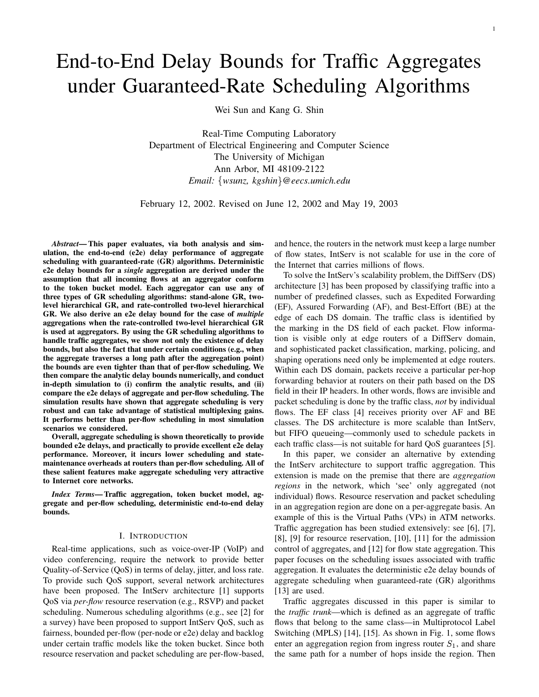# End-to-End Delay Bounds for Traffic Aggregates under Guaranteed-Rate Scheduling Algorithms

Wei Sun and Kang G. Shin

Real-Time Computing Laboratory Department of Electrical Engineering and Computer Science The University of Michigan Ann Arbor, MI 48109-2122 *Email: wsunz, kgshin @eecs.umich.edu*

February 12, 2002. Revised on June 12, 2002 and May 19, 2003

*Abstract***— This paper evaluates, via both analysis and simulation, the end-to-end (e2e) delay performance of aggregate scheduling with guaranteed-rate (GR) algorithms. Deterministic e2e delay bounds for a** *single* **aggregation are derived under the assumption that all incoming flows at an aggregator conform to the token bucket model. Each aggregator can use any of three types of GR scheduling algorithms: stand-alone GR, twolevel hierarchical GR, and rate-controlled two-level hierarchical GR. We also derive an e2e delay bound for the case of** *multiple* **aggregations when the rate-controlled two-level hierarchical GR is used at aggregators. By using the GR scheduling algorithms to handle traffic aggregates, we show not only the existence of delay bounds, but also the fact that under certain conditions (e.g., when the aggregate traverses a long path after the aggregation point) the bounds are even tighter than that of per-flow scheduling. We then compare the analytic delay bounds numerically, and conduct in-depth simulation to (i) confirm the analytic results, and (ii) compare the e2e delays of aggregate and per-flow scheduling. The simulation results have shown that aggregate scheduling is very robust and can take advantage of statistical multiplexing gains. It performs better than per-flow scheduling in most simulation scenarios we considered.**

**Overall, aggregate scheduling is shown theoretically to provide bounded e2e delays, and practically to provide excellent e2e delay performance. Moreover, it incurs lower scheduling and statemaintenance overheads at routers than per-flow scheduling. All of these salient features make aggregate scheduling very attractive to Internet core networks.**

*Index Terms***—Traffic aggregation, token bucket model, aggregate and per-flow scheduling, deterministic end-to-end delay bounds.**

# I. INTRODUCTION

Real-time applications, such as voice-over-IP (VoIP) and video conferencing, require the network to provide better Quality-of-Service (QoS) in terms of delay, jitter, and loss rate. To provide such QoS support, several network architectures have been proposed. The IntServ architecture [1] supports QoS via *per-flow* resource reservation (e.g., RSVP) and packet scheduling. Numerous scheduling algorithms (e.g., see [2] for a survey) have been proposed to support IntServ QoS, such as fairness, bounded per-flow (per-node or e2e) delay and backlog under certain traffic models like the token bucket. Since both resource reservation and packet scheduling are per-flow-based, and hence, the routers in the network must keep a large number of flow states, IntServ is not scalable for use in the core of the Internet that carries millions of flows.

To solve the IntServ's scalability problem, the DiffServ (DS) architecture [3] has been proposed by classifying traffic into a number of predefined classes, such as Expedited Forwarding (EF), Assured Forwarding (AF), and Best-Effort (BE) at the edge of each DS domain. The traffic class is identified by the marking in the DS field of each packet. Flow information is visible only at edge routers of a DiffServ domain, and sophisticated packet classification, marking, policing, and shaping operations need only be implemented at edge routers. Within each DS domain, packets receive a particular per-hop forwarding behavior at routers on their path based on the DS field in their IP headers. In other words, flows are invisible and packet scheduling is done by the traffic class, *not* by individual flows. The EF class [4] receives priority over AF and BE classes. The DS architecture is more scalable than IntServ, but FIFO queueing—commonly used to schedule packets in each traffic class—is not suitable for hard QoS guarantees [5].

In this paper, we consider an alternative by extending the IntServ architecture to support traffic aggregation. This extension is made on the premise that there are *aggregation regions* in the network, which 'see' only aggregated (not individual) flows. Resource reservation and packet scheduling in an aggregation region are done on a per-aggregate basis. An example of this is the Virtual Paths (VPs) in ATM networks. Traffic aggregation has been studied extensively: see [6], [7], [8], [9] for resource reservation, [10], [11] for the admission control of aggregates, and [12] for flow state aggregation. This paper focuses on the scheduling issues associated with traffic aggregation. It evaluates the deterministic e2e delay bounds of aggregate scheduling when guaranteed-rate (GR) algorithms [13] are used.

Traffic aggregates discussed in this paper is similar to the *traffic trunk*—which is defined as an aggregate of traffic flows that belong to the same class—in Multiprotocol Label Switching (MPLS) [14], [15]. As shown in Fig. 1, some flows enter an aggregation region from ingress router  $S_1$ , and share the same path for a number of hops inside the region. Then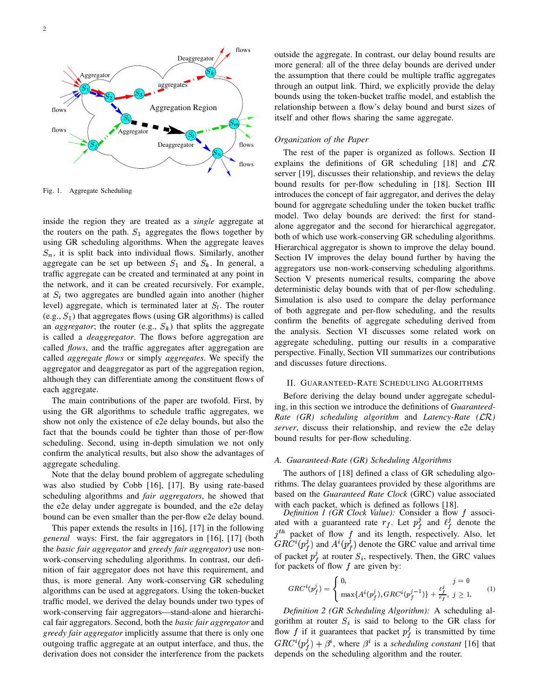

Fig. 1. Aggregate Scheduling

inside the region they are treated as a *single* aggregate at the routers on the path.  $S_1$  aggregates the flows together by using GR scheduling algorithms. When the aggregate leaves  $S_n$ , it is split back into individual flows. Similarly, another aggregate can be set up between  $S_1$  and  $S_k$ . In general, a traffic aggregate can be created and terminated at any point in the network, and it can be created recursively. For example, at  $S_i$  two aggregates are bundled again into another (higher level) aggregate, which is terminated later at  $S_l$ . The router  $(e.g., S<sub>1</sub>)$  that aggregates flows (using GR algorithms) is called an *aggregator*; the router (e.g.,  $S_k$ ) that splits the aggregate is called a *deaggregator*. The flows before aggregation are called *flows*, and the traffic aggregates after aggregation are called *aggregate flows* or simply *aggregates*. We specify the aggregator and deaggregator as part of the aggregation region, although they can differentiate among the constituent flows of each aggregate.

The main contributions of the paper are twofold. First, by using the GR algorithms to schedule traffic aggregates, we show not only the existence of e2e delay bounds, but also the fact that the bounds could be tighter than those of per-flow scheduling. Second, using in-depth simulation we not only confirm the analytical results, but also show the advantages of aggregate scheduling.

Note that the delay bound problem of aggregate scheduling was also studied by Cobb [16], [17]. By using rate-based scheduling algorithms and *fair aggregators*, he showed that the e2e delay under aggregate is bounded, and the e2e delay bound can be even smaller than the per-flow e2e delay bound.

This paper extends the results in [16], [17] in the following *general* ways: First, the fair aggregators in [16], [17] (both the *basic fair aggregator* and *greedy fair aggregator*) use nonwork-conserving scheduling algorithms. In contrast, our definition of fair aggregator does not have this requirement, and thus, is more general. Any work-conserving GR scheduling algorithms can be used at aggregators. Using the token-bucket traffic model, we derived the delay bounds under two types of work-conserving fair aggregators—stand-alone and hierarchical fair aggregators. Second, both the *basic fair aggregator* and *greedy fair aggregator* implicitly assume that there is only one outgoing traffic aggregate at an output interface, and thus, the derivation does not consider the interference from the packets

itself and other flows sharing the same aggregate. outside the aggregate. In contrast, our delay bound results are more general: all of the three delay bounds are derived under the assumption that there could be multiple traffic aggregates through an output link. Third, we explicitly provide the delay bounds using the token-bucket traffic model, and establish the relationship between a flow's delay bound and burst sizes of

# *Organization of the Paper*

The rest of the paper is organized as follows. Section II explains the definitions of GR scheduling [18] and  $\mathcal{LR}$ server [19], discusses their relationship, and reviews the delay bound results for per-flow scheduling in [18]. Section III introduces the concept of fair aggregator, and derives the delay bound for aggregate scheduling under the token bucket traffic model. Two delay bounds are derived: the first for standalone aggregator and the second for hierarchical aggregator, both of which use work-conserving GR scheduling algorithms. Hierarchical aggregator is shown to improve the delay bound. Section IV improves the delay bound further by having the aggregators use non-work-conserving scheduling algorithms. Section V presents numerical results, comparing the above deterministic delay bounds with that of per-flow scheduling. Simulation is also used to compare the delay performance of both aggregate and per-flow scheduling, and the results confirm the benefits of aggregate scheduling derived from the analysis. Section VI discusses some related work on aggregate scheduling, putting our results in a comparative perspective. Finally, Section VII summarizes our contributions and discusses future directions.

# II. GUARANTEED-RATE SCHEDULING ALGORITHMS

Before deriving the delay bound under aggregate scheduling, in this section we introduce the definitions of *Guaranteed-Rate (GR) scheduling algorithm* and *Latency-Rate (* $\mathcal{LR}$ *) server*, discuss their relationship, and review the e2e delay bound results for per-flow scheduling.

# *A. Guaranteed-Rate (GR) Scheduling Algorithms*

The authors of [18] defined a class of GR scheduling algorithms. The delay guarantees provided by these algorithms are based on the *Guaranteed Rate Clock* (GRC) value associated with each packet, which is defined as follows [18].

*Definition 1 (GR Clock Value):* Consider a flow  $f$  associated with a guaranteed rate  $r_f$ . Let  $p_f^j$  and  $\ell_f^j$  denote the  $j<sup>th</sup>$  packet of flow f and its length, respectively. Also, let  $GRC^{i}(p_{\ell}^{j})$  and  $A^{i}(p_{\ell}^{j})$  denote the GRC value and arrival time of packet  $p_f^j$  at router  $S_i$ , respectively. Then, the GRC values for packets of flow  $f$  are given by:

$$
GRC^{i}(p_f^j) = \begin{cases} 0, & j = 0\\ \max\{A^{i}(p_f^j), GRC^{i}(p_f^{j-1})\} + \frac{\ell_f^j}{r_f}, & j \ge 1. \end{cases}
$$
 (1)

*Definition 2 (GR Scheduling Algorithm):* A scheduling algorithm at router  $S_i$  is said to belong to the GR class for flow f if it guarantees that packet  $p_f^j$  is transmitted by time  $GRC^{i}(p_{f}^{j}) + \beta^{i}$ , where  $\beta^{i}$  is a *scheduling constant* [16] that depends on the scheduling algorithm and the router.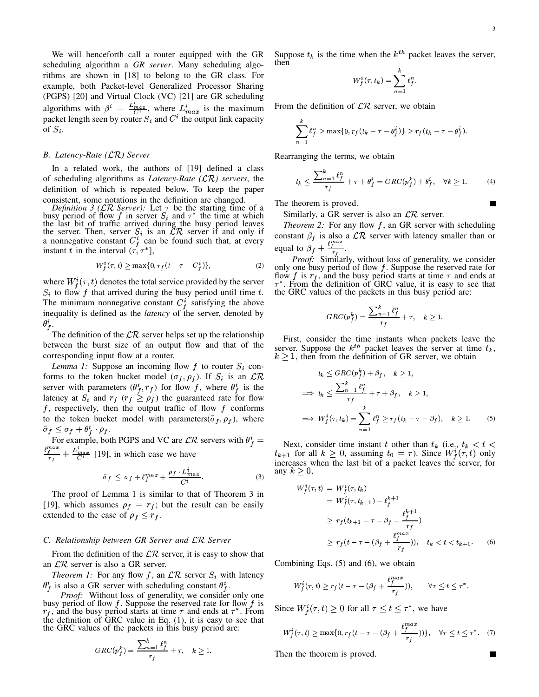We will henceforth call a router equipped with the GR scheduling algorithm a *GR server*. Many scheduling algorithms are shown in [18] to belong to the GR class. For example, both Packet-level Generalized Processor Sharing (PGPS) [20] and Virtual Clock (VC) [21] are GR scheduling algorithms with  $\beta^i = \frac{L_{max}}{C_i}$ , where  $L_{max}^i$  is the maximum packet length seen by router  $S_i$  and  $C^i$  the output link capacity of  $S_i$ .

#### *B. Latency-Rate () Server*

In a related work, the authors of [19] defined a class of scheduling algorithms as *Latency-Rate*  $(LR)$  *servers*, the definition of which is repeated below. To keep the paper consistent, some notations in the definition are changed.

*Definition* 3 ( $\mathcal{LR}$  *Server*): Let  $\tau$  be the starting time of a busy period of flow f in server  $S_i$  and  $\tau^*$  the time at which the last bit of traffic arrived during the busy period leaves the server. Then, server  $S_i$  is an  $\mathcal{LR}$  server if and only if a nonnegative constant  $C_f^i$  can be found such that, at every instant t in the interval  $(\tau, \tau^*)$ ,

$$
W_f^i(\tau, t) \ge \max\{0, r_f(t - \tau - C_f^i)\},\tag{2}
$$

where  $W_f^i(\tau, t)$  denotes the total service provided by the server  $S_i$  to flow f that arrived during the busy period until time t. The minimum nonnegative constant  $C_f^i$  satisfying the above inequality is defined as the *latency* of the server, denoted by  $\theta_{f}^{i}$ .

The definition of the  $\mathcal{LR}$  server helps set up the relationship between the burst size of an output flow and that of the corresponding input flow at a router.

*Lemma 1:* Suppose an incoming flow  $f$  to router  $S_i$  conforms to the token bucket model  $(\sigma_f, \rho_f)$ . If  $S_i$  is an  $\mathcal{LR}$ server with parameters  $(\theta_f^i, r_f)$  for flow f, where  $\theta_f^i$  is the latency at  $S_i$  and  $r_f$  ( $r_f \ge \rho_f$ ) the guaranteed rate for flow f, respectively, then the output traffic of flow f conforms to the token bucket model with parameters( $\tilde{\sigma}_f$ ,  $\rho_f$ ), where  $\tilde{\sigma}_f \leq \sigma_f + \theta^i_f \cdot \rho_f.$ 

For example, both PGPS and VC are  $\mathcal{LR}$  servers with  $\theta_f^i$  =  $\frac{\ell_i^{max}}{r_f} + \frac{L_{max}^i}{C^i}$  [19], in which case we have

$$
\tilde{\sigma}_f \leq \sigma_f + \ell_f^{max} + \frac{\rho_f \ L_{max}^i}{C^i}.
$$
 (3)

The proof of Lemma 1 is similar to that of Theorem 3 in [19], which assumes  $\rho_f = r_f$ ; but the result can be easily extended to the case of  $\rho_f \leq r_f$ .

#### *C. Relationship between GR Server and Server*

From the definition of the  $\mathcal{LR}$  server, it is easy to show that an  $\mathcal{LR}$  server is also a GR server.

*Theorem 1:* For any flow f, an  $\mathcal{LR}$  server  $S_i$  with latency  $\theta_f^i$  is also a GR server with scheduling constant  $\theta_f^i$ .

*Proof:* Without loss of generality, we consider only one busy period of flow f. Suppose the reserved rate for flow f is  $r_f$ , and the busy period starts at time  $\tau$  and ends at  $\tau^*$ . From the definition of GRC value in Eq. (1), it is easy to see that the GRC values of the packets in this busy period are:

$$
GRC(p_f^k) = \frac{\sum_{n=1}^k \ell_f^n}{r_f} + \tau, \quad k \ge 1.
$$

Suppose  $t_k$  is the time when the  $k^{th}$  packet leaves the server, then

$$
W_f^i(\tau,t_k) = \sum_{n=1}^{\kappa} \ell_f^n.
$$

From the definition of  $\mathcal{LR}$  server, we obtain

$$
\sum_{n=1}^k \ell_f^n \ge \max\{0, r_f(t_k - \tau - \theta_f^i)\} \ge r_f(t_k - \tau - \theta_f^i).
$$

Rearranging the terms, we obtain

$$
t_k \le \frac{\sum_{n=1}^k \ell_f^n}{r_f} + \tau + \theta_f^i = GRC(p_f^k) + \theta_f^i, \quad \forall k \ge 1.
$$
 (4)

The theorem is proved.

Similarly, a GR server is also an  $\mathcal{LR}$  server.

*Theorem* 2: For any flow  $f$ , an GR server with scheduling constant  $\beta_f$  is also a  $\mathcal{LR}$  server with latency smaller than or equal to  $\beta_f + \frac{\ell_f^{max}}{n}$ . .

Proof: Similarly, without loss of generality, we consider only one busy period of flow  $f$ . Suppose the reserved rate for flow f is  $r_f$ , and the busy period starts at time  $\tau$  and ends at  $\tau^*$ . From the definition of GRC value, it is easy to see that the GRC values of the packets in this busy period are:

$$
GRC(p_f^k) = \frac{\sum_{n=1}^k \ell_f^n}{r_f} + \tau, \quad k \ge 1.
$$

First, consider the time instants when packets leave the server. Suppose the  $k^{th}$  packet leaves the server at time  $t_k$ ,  $k \geq 1$ , then from the definition of GR server, we obtain

$$
t_k \leq GRC(p_f^k) + \beta_f, \quad k \geq 1,
$$
  
\n
$$
\implies t_k \leq \frac{\sum_{n=1}^k \ell_f^n}{r_f} + \tau + \beta_f, \quad k \geq 1,
$$
  
\n
$$
\implies W_f^i(\tau, t_k) = \sum_{n=1}^k \ell_f^n \geq r_f(t_k - \tau - \beta_f), \quad k \geq 1.
$$
 (5)

 $f^*$  = Next, consider time instant t other than  $t_k$  (i.e.,  $t_k < t <$  $t_{k+1}$  for all  $k \geq 0$ , assuming  $t_0 = \tau$ ). Since  $W^i_f(\tau, t)$  only increases when the last bit of a packet leaves the server, for any  $k > 0$ ,

$$
W_f^i(\tau, t) = W_f^i(\tau, t_k)
$$
  
=  $W_f^i(\tau, t_{k+1}) - \ell_f^{k+1}$   
 $\geq r_f(t_{k+1} - \tau - \beta_f - \frac{\ell_f^{k+1}}{r_f})$   
 $\geq r_f(t - \tau - (\beta_f + \frac{\ell_f^{max}}{r_f})), \quad t_k < t < t_{k+1}.$  (6)

Combining Eqs. (5) and (6), we obtain

$$
W_f^i(\tau, t) \ge r_f(t - \tau - (\beta_f + \frac{\ell_f^{max}}{r_f})), \qquad \forall \tau \le t \le \tau^*.
$$

Since  $W_f^i(\tau,t) \geq 0$  for all  $\tau \leq t \leq \tau^*$ , we have

$$
W_f^i(\tau, t) \ge \max\{0, r_f(t - \tau - (\beta_f + \frac{\ell_f^{max}}{r_f}))\}, \quad \forall \tau \le t \le \tau^*.
$$
 (7)

Then the theorem is proved.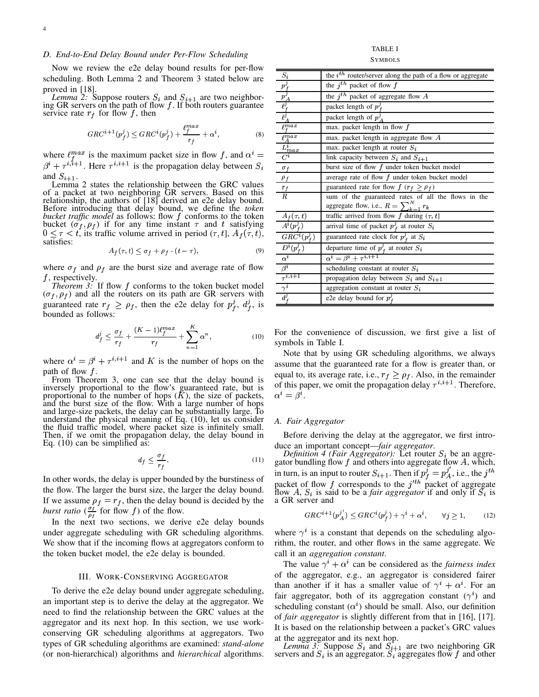#### *D. End-to-End Delay Bound under Per-Flow Scheduling*

Now we review the e2e delay bound results for per-flow scheduling. Both Lemma 2 and Theorem 3 stated below are proved in [18].

*Lemma* 2: Suppose routers  $S_i$  and  $S_{i+1}$  are two neighboring GR servers on the path of flow  $f$ . If both routers guarantee service rate  $r_f$  for flow f, then

$$
GRC^{i+1}(p_f^j) \leq GRC^i(p_f^j) + \frac{\ell_f^{max}}{r_f} + \alpha^i,\tag{8}
$$

where  $\ell_f^{max}$  is the maximum packet size in flow f, and  $\alpha^i = \frac{L_{max}}{C_i}$  $\beta^{i} + \tau^{i,i+1}$ . Here  $\tau^{i,i+1}$  is the propagation delay between  $S_i$ and  $S_{i+1}$ .

Lemma 2 states the relationship between the GRC values of a packet at two neighboring GR servers. Based on this relationship, the authors of [18] derived an e2e delay bound. Before introducing that delay bound, we define the *token bucket traffic model* as follows: flow  $f$  conforms to the token bucket  $(\sigma_f, \rho_f)$  if for any time instant  $\tau$  and t satisfying  $0 \leq \tau < t$ , its traffic volume arrived in period  $(\tau, t]$ ,  $A_f(\tau, t)$ , satisfies:

$$
A_f(\tau, t) \le \sigma_f + \rho_f \cdot (t - \tau), \tag{9}
$$

where  $\sigma_f$  and  $\rho_f$  are the burst size and average rate of flow  $f$ , respectively.

*Theorem 3:* If flow  $f$  conforms to the token bucket model  $(\sigma_f, \rho_f)$  and all the routers on its path are GR servers with guaranteed rate  $r_f \ge \rho_f$ , then the e2e delay for  $p_f^j$ ,  $d_f^j$ , is bounded as follows:

$$
d_f^j \le \frac{\sigma_f}{r_f} + \frac{(K-1)\ell_f^{max}}{r_f} + \sum_{n=1}^K \alpha^n, \qquad (10) \quad \text{For the symbols}
$$

where  $\alpha^{i} = \beta^{i} + \tau^{i,i+1}$  and K is the number of hops on the path of flow  $f$ .

From Theorem 3, one can see that the delay bound is inversely proportional to the flow's guaranteed rate, but is proportional to the number of hops  $(K)$ , the size of packets, and the burst size of the flow. With a large number of hops and large-size packets, the delay can be substantially large. To understand the physical meaning of Eq. (10), let us consider the fluid traffic model, where packet size is infinitely small. Then, if we omit the propagation delay, the delay bound in Eq. (10) can be simplified as:

$$
d_f \le \frac{\sigma_f}{r_f}.\tag{11}
$$

In other words, the delay is upper bounded by the burstiness of the flow. The larger the burst size, the larger the delay bound. If we assume  $\rho_f = r_f$ , then the delay bound is decided by the *burst ratio*  $\left(\frac{\sigma_f}{\rho_f} \right)$  for flow  $f$ ) of the flow.

In the next two sections, we derive e2e delay bounds under aggregate scheduling with GR scheduling algorithms. We show that if the incoming flows at aggregators conform to the token bucket model, the e2e delay is bounded.

## III. WORK-CONSERVING AGGREGATOR

To derive the e2e delay bound under aggregate scheduling, an important step is to derive the delay at the aggregator. We need to find the relationship between the GRC values at the aggregator and its next hop. In this section, we use workconserving GR scheduling algorithms at aggregators. Two types of GR scheduling algorithms are examined: *stand-alone* (or non-hierarchical) algorithms and *hierarchical* algorithms.

TABLE I **SYMBOLS** 

| the $i^{th}$ router/server along the path of a flow or aggregate |
|------------------------------------------------------------------|
| the $j^{th}$ packet of flow $f$                                  |
| the $j^{th}$ packet of aggregate flow A                          |
| packet length of $p_f^j$                                         |
| packet length of $p_A^j$                                         |
| max. packet length in flow $f$                                   |
| max. packet length in aggregate flow $A$                         |
| max. packet length at router $S_i$                               |
| link capacity between $S_i$ and $S_{i+1}$                        |
| burst size of flow $f$ under token bucket model                  |
| average rate of flow $f$ under token bucket model                |
| guaranteed rate for flow $f(r_f \ge \rho_f)$                     |
| sum of the guaranteed rates of all the flows in the              |
| aggregate flow, i.e., $R = \sum_{k=1}^{N} r_k$                   |
| traffic arrived from flow $f$ during $(\tau, t]$                 |
| arrival time of packet $p_f^j$ at router $S_i$                   |
| guaranteed rate clock for $p_f^j$ at $S_i$                       |
| departure time of $p_f^j$ at router $S_i$                        |
| $\alpha^i = \beta^i + \tau^{i,i+1}$                              |
| scheduling constant at router $S_i$                              |
| propagation delay between $S_i$ and $S_{i+1}$                    |
| aggregation constant at router $S_i$                             |
| e2e delay bound for $p_f^j$                                      |
|                                                                  |

For the convenience of discussion, we first give a list of symbols in Table I.

Note that by using GR scheduling algorithms, we always assume that the guaranteed rate for a flow is greater than, or equal to, its average rate, i.e.,  $r_f \geq \rho_f$ . Also, in the remainder of this paper, we omit the propagation delay  $\tau^{i,i+1}$ . Therefore,  $\alpha^i = \beta^i$ .

#### *A. Fair Aggregator*

Before deriving the delay at the aggregator, we first introduce an important concept—*fair aggregator*.

*Definition* 4 *(Fair Aggregator)*: Let router  $S_i$  be an aggregator bundling flow f and others into aggregate flow A, which, in turn, is an input to router  $S_{i+1}$ . Then if  $p_f^j = p_A^j$ , i.e., the  $j<sup>th</sup>$ packet of flow f corresponds to the  $j<sup>th</sup>$  packet of aggregate flow A,  $S_i$  is said to be a *fair aggregator* if and only if  $S_i$  is a GR server and

$$
GRC^{i+1}(p_A^{j'}) \leq GRC^i(p_f^j) + \gamma^i + \alpha^i, \qquad \forall j \geq 1,\tag{12}
$$

where  $\gamma^i$  is a constant that depends on the scheduling algorithm, the router, and other flows in the same aggregate. We call it an *aggregation constant*.

The value  $\gamma^{i} + \alpha^{i}$  can be considered as the *fairness index* of the aggregator, e.g., an aggregator is considered fairer than another if it has a smaller value of  $\gamma^{i} + \alpha^{i}$ . For an fair aggregator, both of its aggregation constant  $(\gamma^i)$  and scheduling constant  $(\alpha^i)$  should be small. Also, our definition of *fair aggregator* is slightly different from that in [16], [17]. It is based on the relationship between a packet's GRC values at the aggregator and its next hop.

*Lemma* 3. Suppose  $S_i$  and  $S_{i+1}$  are two neighboring GR servers and  $S_i$  is an aggregator.  $S_i$  aggregates flow f and other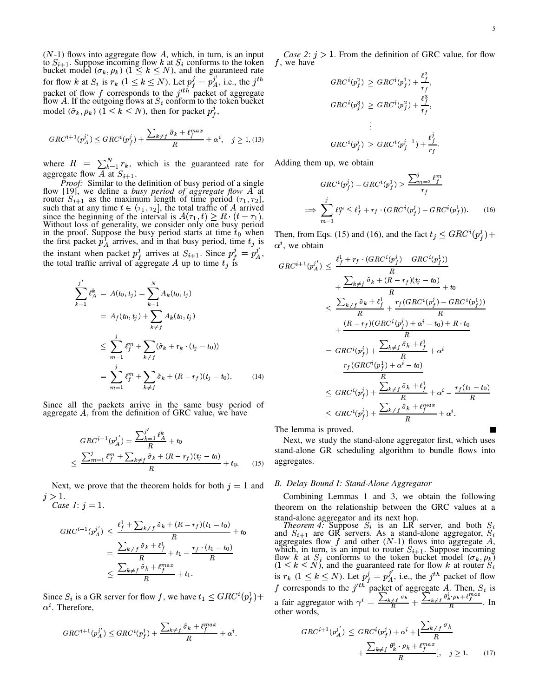$(N-1)$  flows into aggregate flow A, which, in turn, is an input to  $S_{i+1}$ . Suppose incoming flow k at  $S_i$  conforms to the token<br>bucket model  $(\sigma_k, \rho_k)$   $(1 \le k \le N)$ , and the guaranteed rate for flow k at  $S_i$  is  $r_k$   $(1 \le k \le N)$ . Let  $p_f^j = p_A^{j'}$ , i.e., the j<sup>th</sup> packet of flow f corresponds to the  $j'^{th}$  packet of aggregate<br>flow A. If the outgoing flows at  $S_i$  conform to the token bucket model  $(\tilde{\sigma}_k, \rho_k)$   $(1 \leq k \leq N)$ , then for packet  $p_f^j$ ,

$$
GRC^{i+1}(p_A^{j'}) \leq GRC^i(p_f^j) + \frac{\sum_{k \neq f} \tilde{\sigma}_k + \ell_f^{max}}{R} + \alpha^i, \quad j \geq 1, \text{(13)}
$$

where  $R = \sum_{k=1}^{N} r_k$ , which is the guaranteed rate for aggregate flow A at  $S_{i+1}$ .

Proof: Similar to the definition of busy period of a single flow [19], we define a busy period of aggregate flow A at router  $S_{i+1}$  as the maximum length of time period  $(\tau_1, \tau_2]$ , such that at any time  $t \in (\tau_1, \tau_2]$ , the total traffic of A arrived since the beginning of the interval is  $A(\tau_1, t) \ge R \cdot (t - \tau_1)$ . Without loss of generality, we consider only one busy period in the proof. Suppose the busy period starts at time  $t_0$  when the first packet  $p_A^T$  arrives, and in that busy period, time  $t_j$  is the instant when packet  $p_f^j$  arrives at  $S_{i+1}$ . Since  $p_f^j = p_A^j$ , the total traffic arrival of aggregate A up to time  $t_j$  is

$$
\sum_{k=1}^{j'} \ell_A^k = A(t_0, t_j) = \sum_{k=1}^N A_k(t_0, t_j)
$$
  
=  $A_f(t_0, t_j) + \sum_{k \neq f} A_k(t_0, t_j)$   

$$
\leq \sum_{m=1}^j \ell_f^m + \sum_{k \neq f} (\tilde{\sigma}_k + r_k \cdot (t_j - t_0))
$$
  
=  $\sum_{m=1}^j \ell_f^m + \sum_{k \neq f} \tilde{\sigma}_k + (R - r_f)(t_j - t_0).$  (14)

Since all the packets arrive in the same busy period of aggregate A, from the definition of GRC value, we have

$$
GRC^{i+1}(p_A^{j'}) = \frac{\sum_{k=1}^{j'} \ell_A^k}{R} + t_0
$$
  

$$
\leq \frac{\sum_{m=1}^{j} \ell_f^m + \sum_{k \neq f} \tilde{\sigma}_k + (R - r_f)(t_j - t_0)}{R} + t_0.
$$
 (15)

Next, we prove that the theorem holds for both  $j = 1$  and  $j > 1$ . Case 1:  $j = 1$ .

$$
GRC^{i+1}(p_A^{j'}) \leq \frac{\ell_f^1 + \sum_{k \neq f} \tilde{\sigma}_k + (R - r_f)(t_1 - t_0)}{R} + t_0
$$
  
= 
$$
\frac{\sum_{k \neq f} \tilde{\sigma}_k + \ell_f^1}{R} + t_1 - \frac{r_f \cdot (t_1 - t_0)}{R}
$$
  

$$
\leq \frac{\sum_{k \neq f} \tilde{\sigma}_k + \ell_f^{max}}{R} + t_1.
$$

Since  $S_i$  is a GR server for flow f, we have  $t_1 \leq GRC^{i}(p_f^1)$  +  $\alpha^i$ . Therefore,

$$
GRC^{i+1}(p_A^{j'}) \leq GRC^{i}(p_f^1) + \frac{\sum_{k \neq f} \tilde{\sigma}_k + \ell_f^{max}}{R} + \alpha^i.
$$

*Case 2:*  $j > 1$ . From the definition of GRC value, for flow  $f$ , we have

$$
GRC^{i}(p_f^2) \geq GRC^{i}(p_f^1) + \frac{\ell_f^2}{r_f},
$$
  
\n
$$
GRC^{i}(p_f^3) \geq GRC^{i}(p_f^2) + \frac{\ell_f^3}{r_f},
$$
  
\n
$$
\vdots
$$
  
\n
$$
GRC^{i}(p_f^j) \geq GRC^{i}(p_f^{j-1}) + \frac{\ell_f^j}{r_f}.
$$

Adding them up, we obtain

$$
GRC^{i}(p_f^j) - GRC^{i}(p_f^1) \ge \frac{\sum_{m=2}^j \ell_f^m}{r_f}
$$

$$
\implies \sum_{m=1}^j \ell_f^m \le \ell_f^1 + r_f \cdot (GRC^{i}(p_f^j) - GRC^{i}(p_f^1)). \tag{16}
$$

Then, from Eqs. (15) and (16), and the fact  $t_j \leq GRC^{i}(p_f^j) +$  $\alpha^i$ , we obtain

$$
GRC^{i+1}(p_A^{j'}) \leq \frac{\ell_f^1 + r_f \cdot (GRC^i(p_f^1) - GRC^i(p_f^1))}{R}
$$
  
+ 
$$
\frac{\sum_{k \neq f} \tilde{\sigma}_k + (R - r_f)(t_j - t_0)}{R} + t_0
$$
  

$$
\leq \frac{\sum_{k \neq f} \tilde{\sigma}_k + \ell_f^1}{R} + \frac{r_f(GRC^i(p_f^j) - GRC^i(p_f^1))}{R}
$$
  
+ 
$$
\frac{(R - r_f)(GRC^i(p_f^j) + \alpha^i - t_0) + R \cdot t_0}{R}
$$
  
= 
$$
GRC^i(p_f^j) + \frac{\sum_{k \neq f} \tilde{\sigma}_k + \ell_f^1}{R} + \alpha^i
$$
  

$$
- \frac{r_f(GRC^i(p_f^1) + \alpha^i - t_0)}{R}
$$
  

$$
\leq GRC^i(p_f^j) + \frac{\sum_{k \neq f} \tilde{\sigma}_k + \ell_f^1}{R} + \alpha^i - \frac{r_f(t_1 - t_0)}{R}
$$
  

$$
\leq GRC^i(p_f^j) + \frac{\sum_{k \neq f} \tilde{\sigma}_k + \ell_f^{max}}{R} + \alpha^i.
$$

The lemma is proved.

Next, we study the stand-alone aggregator first, which uses stand-alone GR scheduling algorithm to bundle flows into aggregates.

## B. Delay Bound I: Stand-Alone Aggregator

Combining Lemmas 1 and 3, we obtain the following theorem on the relationship between the GRC values at a

stand-alone aggregator and its next hop.<br> *Theorem 4:* Suppose  $S_i$  is an LR server, and both  $S_i$  and  $S_{i+1}$  are GR servers. As a stand-alone aggregator,  $S_i$ and  $S_{i+1}$  are GK servers. As a stand-arolic aggregate,  $S_i$ <br>aggregates flow f and other  $(N-1)$  flows into aggregate A,<br>which, in turn, is an input to router  $S_{i+1}$ . Suppose incoming<br>flow k at  $S_i$  conforms to the tok is  $r_k$  ( $1 \le k \le N$ ). Let  $p_f^j = p_A^{j'}$ , i.e., the *j*<sup>th</sup> packet of flow f corresponds to the *j*<sup>th</sup> packet of aggregate A. Then,  $S_i$  is a fair aggregator with  $\gamma^i = \frac{\sum_{k \neq f} \sigma_k}{R} + \frac{\sum_{k \neq f} \theta_k^i \cdot \rho_k + \ell_f^{max}}{R}$ . In other words,

$$
GRC^{i+1}(p_A^{j'}) \leq GRC^{i}(p_f^j) + \alpha^i + \left[\frac{\sum_{k \neq f} \sigma_k}{R} + \frac{\sum_{k \neq f} \theta_k^i \cdot \rho_k + \ell_f^{max}}{R}\right], \quad j \geq 1.
$$
 (17)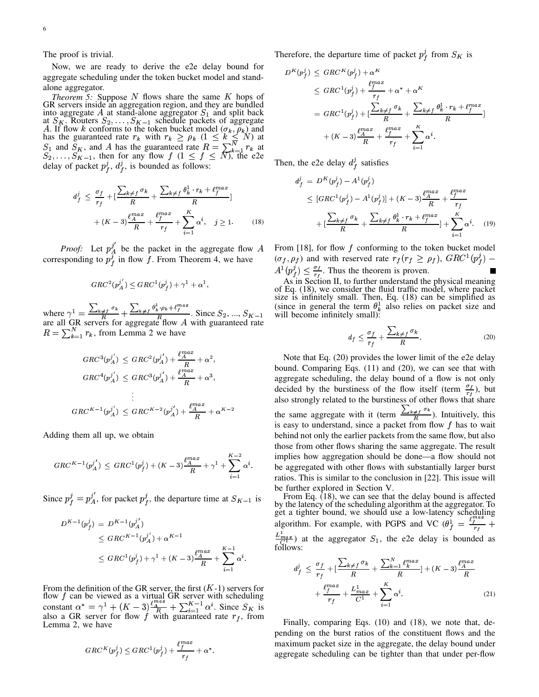The proof is trivial.

Now, we are ready to derive the e2e delay bound for aggregate scheduling under the token bucket model and standalone aggregator.

*Theorem 5:* Suppose  $N$  flows share the same  $K$  hops of GR servers inside an aggregation region, and they are bundled into aggregate A at stand-alone aggregator  $S_1$  and split back Into aggregate A at stand-alone aggregator  $S_1$  and split back<br>at  $S_K$ . Routers  $S_2, ..., S_{K-1}$  schedule packets of aggregate<br>A. If flow k conforms to the token bucket model  $(\sigma_k, \rho_k)$  and<br>has the guaranteed rate  $r_k$  with

$$
d_f^j \leq \frac{\sigma_f}{r_f} + \left[\frac{\sum_{k \neq f} \sigma_k}{R} + \frac{\sum_{k \neq f} \theta_k^1 \cdot r_k + \ell_f^{max}}{R}\right] + (K - 3)\frac{\ell_f^{max}}{R} + \frac{\ell_f^{max}}{r_f} + \sum_{i=1}^K \alpha^i, \quad j \geq 1. \tag{18}
$$

*Proof:* Let  $p_A^{j'}$  be the packet in the aggregate flow A corresponding to  $p_f^{j'}$  in flow f. From Theorem 4, we have

$$
GRC^2(p_A^{j'})\leq GRC^1(p_f^j)+\gamma^1+\alpha^1,
$$

where  $\gamma^1 = \frac{\sum_{k \neq f} \sigma_k}{R} + \frac{\sum_{k \neq f} \theta_k^1 \cdot \rho_k + \ell_f^{max}}{R}$ . Since  $S_2, ..., S_{K-1}$  are all GR servers for aggregate flow A with guaranteed rate  $R = \sum_{k=1}^{N} r_k$ , from Lemma 2 we have

$$
GRC^{3}(p_{A}^{j'}) \leq GRC^{2}(p_{A}^{j'}) + \frac{\ell_{A}^{max}}{R} + \alpha^{2},
$$
  
\n
$$
GRC^{4}(p_{A}^{j'}) \leq GRC^{3}(p_{A}^{j'}) + \frac{\ell_{A}^{max}}{R} + \alpha^{3},
$$
  
\n
$$
\vdots
$$
  
\n
$$
GRC^{K-1}(p_{A}^{j'}) \leq GRC^{K-2}(p_{A}^{j'}) + \frac{\ell_{A}^{max}}{R} + \alpha^{K-2}
$$

Adding them all up, we obtain

$$
GRC^{K-1}(p_A^{j'}) \leq GRC^1(p_f^j) + (K-3)\frac{\ell_A^{max}}{R} + \gamma^1 + \sum_{i=1}^{K-2} \alpha^i.
$$

Since  $p_f^j = p_A^{j'}$ , for packet  $p_f^j$ , the departure time at  $S_{K-1}$  is

$$
D^{K-1}(p_f^j) = D^{K-1}(p_A^{j'})
$$
  
\n
$$
\leq GRC^{K-1}(p_A^{j'}) + \alpha^{K-1}
$$
  
\n
$$
\leq GRC^1(p_f^j) + \gamma^1 + (K-3)\frac{l_A^{max}}{R} + \sum_{i=1}^{K-1} \alpha^i.
$$

From the definition of the GR server, the first  $(K-1)$  servers for<br>flow f can be viewed as a virtual GR server with scheduling<br>constant  $\alpha^* = \gamma^1 + (K-3) \frac{\ell_A^{max}}{R} + \sum_{i=1}^{K-1} \alpha^i$ . Since  $S_K$  is<br>also a GR server for flo Lemma 2, we have

$$
GRC^{K}(p_f^j) \leq GRC^1(p_f^j) + \frac{\ell_f^{max}}{r_f} + \alpha^*.
$$

Therefore, the departure time of packet  $p_f^j$  from  $S_K$  is

$$
D^{K}(p_f^j) \leq GRC^{K}(p_f^j) + \alpha^{K}
$$
  
\n
$$
\leq GRC^{1}(p_f^j) + \frac{\ell_f^{max}}{r_f} + \alpha^* + \alpha^{K}
$$
  
\n
$$
= GRC^{1}(p_f^j) + \left[\frac{\sum_{k \neq f} \sigma_k}{R} + \frac{\sum_{k \neq f} \theta_k^1 \cdot r_k + \ell_f^{max}}{R}\right]
$$
  
\n
$$
+ (K - 3) \frac{\ell_f^{max}}{R} + \frac{\ell_f^{max}}{r_f} + \sum_{i=1}^K \alpha^i.
$$

Then, the e2e delay  $d_f^j$  satisfies

$$
d_f^j = D^K(p_f^j) - A^1(p_f^j)
$$
  
\n
$$
\leq [GRC^1(p_f^j) - A^1(p_f^j)] + (K - 3)\frac{\ell_A^{max}}{R} + \frac{\ell_f^{max}}{r_f}
$$
  
\n
$$
+ \left[ \frac{\sum_{k \neq f} \sigma_k}{R} + \frac{\sum_{k \neq f} \theta_k^1 \cdot r_k + \ell_f^{max}}{R} \right] + \sum_{i=1}^K \alpha^i. \quad (19)
$$

From [18], for flow  $f$  conforming to the token bucket model  $(\sigma_f, \rho_f)$  and with reserved rate  $r_f(r_f \ge \rho_f)$ ,  $GRC^1(p_f^2)$  –  $A^{1}(p_f^j) \leq \frac{\sigma_f}{r_f}$ . Thus the theorem is proven.

As in Section II, to further understand the physical meaning<br>of Eq. (18), we consider the fluid traffic model, where packet<br>size is infinitely small. Then, Eq. (18) can be simplified as<br>(since in general the term  $\theta_k^1$ 

$$
d_f \le \frac{\sigma_f}{r_f} + \frac{\sum_{k \ne f} \sigma_k}{R}.\tag{20}
$$

Note that Eq. (20) provides the lower limit of the e2e delay bound. Comparing Eqs.  $(11)$  and  $(20)$ , we can see that with aggregate scheduling, the delay bound of a flow is not only decided by the burstiness of the flow itself (term  $\frac{\sigma_f}{r_f}$ ), but also strongly related to the burstiness of other flows that share the same aggregate with it (term  $\frac{\sum_{k \neq j} \sigma_k}{R}$ ). Intuitively, this is easy to understand, since a packet from flow f has to wait behind not only the earlier packets from the same flow, but also those from other flows sharing the same aggregate. The result implies how aggregation should be done—a flow should not be aggregated with other flows with substantially larger burst ratios. This is similar to the conclusion in [22]. This issue will be further explored in Section V.

From Eq.  $(18)$ , we can see that the delay bound is affected From Eq. (150), we can see that the detailing and the aggregator. To<br>get a tighter bound, we should use a low-latency scheduling<br>algorithm. For example, with PGPS and VC  $(\theta_f^1 = \frac{\ell_f^{max}}{r_f} + \frac{1}{\ell_f^{max}})$  $\frac{L_{max}^1}{C_1}$  at the aggregator  $S_1$ , the e2e delay is bounded as

$$
d_f^j \le \frac{\sigma_f}{r_f} + \left[ \frac{\sum_{k \ne f} \sigma_k}{R} + \frac{\sum_{k=1}^N \ell_k^{max}}{R} \right] + (K - 3) \frac{\ell_A^{max}}{R} + \frac{\ell_f^{max}}{r_f} + \frac{L_{max}^1}{C^1} + \sum_{i=1}^K \alpha^i.
$$
 (21)

Finally, comparing Eqs. (10) and (18), we note that, depending on the burst ratios of the constituent flows and the maximum packet size in the aggregate, the delay bound under aggregate scheduling can be tighter than that under per-flow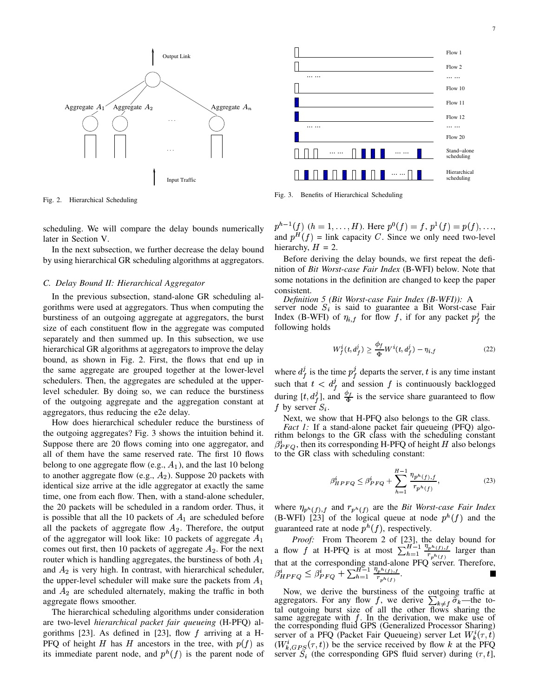

Fig. 2. Hierarchical Scheduling

scheduling. We will compare the delay bounds numerically later in Section V.

In the next subsection, we further decrease the delay bound by using hierarchical GR scheduling algorithms at aggregators.

#### *C. Delay Bound II: Hierarchical Aggregator*

In the previous subsection, stand-alone GR scheduling algorithms were used at aggregators. Thus when computing the burstiness of an outgoing aggregate at aggregators, the burst size of each constituent flow in the aggregate was computed separately and then summed up. In this subsection, we use hierarchical GR algorithms at aggregators to improve the delay bound, as shown in Fig. 2. First, the flows that end up in the same aggregate are grouped together at the lower-level schedulers. Then, the aggregates are scheduled at the upperlevel scheduler. By doing so, we can reduce the burstiness of the outgoing aggregate and the aggregation constant at aggregators, thus reducing the e2e delay.

How does hierarchical scheduler reduce the burstiness of the outgoing aggregates? Fig. 3 shows the intuition behind it. Suppose there are 20 flows coming into one aggregator, and all of them have the same reserved rate. The first 10 flows belong to one aggregate flow (e.g.,  $A_1$ ), and the last 10 belong to another aggregate flow (e.g.,  $A_2$ ). Suppose 20 packets with identical size arrive at the idle aggregator at exactly the same time, one from each flow. Then, with a stand-alone scheduler, the 20 packets will be scheduled in a random order. Thus, it is possible that all the 10 packets of  $A_1$  are scheduled before all the packets of aggregate flow  $A_2$ . Therefore, the output of the aggregator will look like: 10 packets of aggregate  $A_1$ comes out first, then 10 packets of aggregate  $A_2$ . For the next router which is handling aggregates, the burstiness of both  $A_1$ and  $A_2$  is very high. In contrast, with hierarchical scheduler, the upper-level scheduler will make sure the packets from  $A_1$ and  $A_2$  are scheduled alternately, making the traffic in both aggregate flows smoother.

The hierarchical scheduling algorithms under consideration are two-level *hierarchical packet fair queueing* (H-PFQ) algorithms [23]. As defined in [23], flow  $f$  arriving at a H-PFQ of height H has H ancestors in the tree, with  $p(f)$  as (W its immediate parent node, and  $p^{h}(f)$  is the parent node of



Fig. 3. Benefits of Hierarchical Scheduling

 $p^{h-1}(f)$   $(h = 1, ..., H)$ . Here  $p^0(f) = f$ ,  $p^1(f) = p(f), ...,$ and  $p^{H}(f)$  = link capacity C. Since we only need two-level hierarchy,  $H = 2$ .

Before deriving the delay bounds, we first repeat the definition of *Bit Worst-case Fair Index* (B-WFI) below. Note that some notations in the definition are changed to keep the paper consistent.

*Definition 5 (Bit Worst-case Fair Index (B-WFI)):* A server node  $S_i$  is said to guarantee a Bit Worst-case Fair Index (B-WFI) of  $\eta_{i,f}$  for flow f, if for any packet  $p_f^j$  the following holds

$$
W_f^i(t, d_f^j) \ge \frac{\phi_f}{\Phi} W^i(t, d_f^j) - \eta_{i,f}
$$
\n(22)

where  $d_f^j$  is the time  $p_f^j$  departs the server, t is any time instant such that  $t < d_f^j$  and session f is continuously backlogged during  $[t, d_t^j]$ , and  $\frac{\phi_f}{\Phi}$  is the service share guaranteed to flow f by server  $S_i$ .

Next, we show that H-PFQ also belongs to the GR class. *Fact 1:* If a stand-alone packet fair queueing (PFQ) algorithm belongs to the GR class with the scheduling constant  $\beta_{PFO}^i$ , then its corresponding H-PFQ of height H also belongs to the GR class with scheduling constant:

$$
\beta_{HPFQ}^i \le \beta_{PFQ}^i + \sum_{h=1}^{H-1} \frac{\eta_{p^h(f),f}}{r_{p^h(f)}},
$$
\n(23)

where  $\eta_{p^h(f),f}$  and  $r_{p^h(f)}$  are the *Bit Worst-case Fair Index* (B-WFI) [23] of the logical queue at node  $p^{h}(f)$  and the guaranteed rate at node  $p^{h}(f)$ , respectively.

*Proof:* From Theorem 2 of [23], the delay bound for a flow f at H-PFQ is at most  $\sum_{h=1}^{H-1} \frac{\eta_{ph}(f),f}{f}$  lar  $\frac{\eta_{p^h(f),f}}{n_{p^h(f)}}$  larger than that at the corresponding stand-alone PFQ server. Therefore,  $\beta_{HPFQ}^* \leq \beta_{PFQ}^*$  $p_{FO} \leq \beta_{PFO}^i + \sum_{h=1}^{H-1} \frac{\eta_{ph}(f), f}{r}$  $\frac{\eta_{p^h(f),f}}{r_{p^h(f)}}.$ 

Now, we derive the burstiness of the outgoing traffic at aggregators. For any flow f, we derive  $\sum_{k\neq j} \tilde{\sigma}_k$ —the total outgoing burst size of all the other flows sharing the same aggregate with  $f$ . In the derivation, we make use of the corresponding fluid GPS (Generalized Processor Sharing) server of a PFQ (Packet Fair Queueing) server Let  $W_k^i(\tau,t)$ <sup>3</sup>  $(W_{k, GPS}^i(\tau, t))$  be the service received by flow k at the PFQ server  $S_i$  (the corresponding GPS fluid server) during  $(\tau, t]$ ,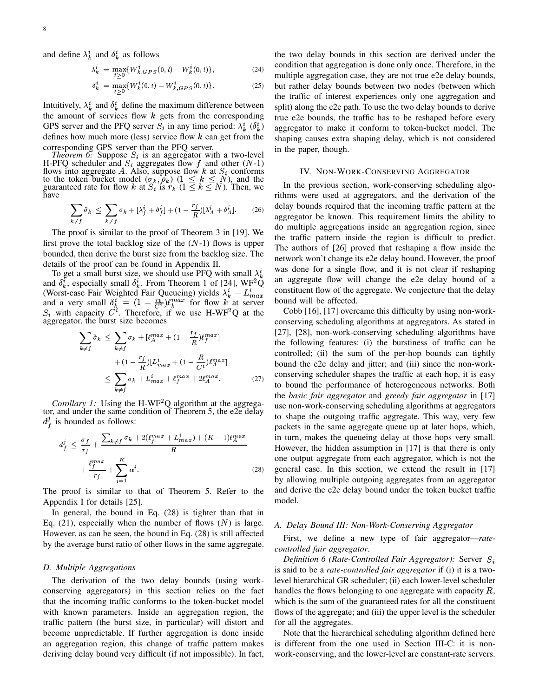and define  $\lambda_k^i$  and  $\delta_k^i$  as follows

$$
\lambda_k^i = \max_{t>0} \{ W_{k,GPS}^i(0,t) - W_k^i(0,t) \},\tag{24}
$$

$$
\delta_k^i = \max_{t \ge 0} \{ W_k^i(0, t) - W_{k, GPS}^i(0, t) \}.
$$
 (25)

Intuitively,  $\lambda_k^i$  and  $\delta_k^i$  define the maximum difference between the amount of services flow  $k$  gets from the corresponding GPS server and the PFQ server  $S_i$  in any time period:  $\lambda_k^i$  ( $\delta_k^i$ ) defines how much more (less) service flow  $k$  can get from the

corresponding GPS server than the PFQ server.<br>
Theorem 6: Suppose  $S_i$  is an aggregator with a two-level<br>
H-PFQ scheduler and  $S_i$  aggregates flow f and other (N-1)<br>
flows into aggregate A. Also, suppose flow k at  $S_i$  co have

$$
\sum_{k \neq f} \tilde{\sigma}_k \leq \sum_{k \neq f} \sigma_k + [\lambda_f^i + \delta_f^i] + (1 - \frac{r_f}{R})[\lambda_A^i + \delta_A^i].
$$
 (26)

The proof is similar to the proof of Theorem 3 in [19]. We first prove the total backlog size of the  $(N-1)$  flows is upper bounded, then derive the burst size from the backlog size. The details of the proof can be found in Appendix II.

To get a small burst size, we should use PFQ with small  $\lambda_k^i$ and  $\delta_k^i$ , especially small  $\delta_k^i$ . From Theorem 1 of [24], WF<sup>2</sup>Q (Worst-case Fair Weighted Fair Queueing) yields  $\lambda_k^i = L_{max}^i$ and a very small  $\delta_k^i = (1 - \frac{r_k}{C^i}) \ell_k^{max}$  for flow k<sup>n</sup> at server  $S_i$  with capacity  $C^i$ . Therefore, if we use H-WF<sup>2</sup>Q at the aggregator, the burst size becomes

$$
\sum_{k \neq f} \tilde{\sigma}_k \leq \sum_{k \neq f} \sigma_k + [\ell_A^{max} + (1 - \frac{r_f}{R}) \ell_f^{max}]
$$
  
+ 
$$
(1 - \frac{r_f}{R}) [L_{max}^i + (1 - \frac{R}{C^i}) \ell_A^{max}]
$$
  

$$
\leq \sum_{k \neq f} \sigma_k + L_{max}^i + \ell_f^{max} + 2\ell_A^{max}.
$$
 (27)

*Corollary 1:* Using the H-WF<sup>2</sup>Q algorithm at the aggregator, and under the same condition of Theorem 5, the e2e delay  $d_{\ell}^{j}$  is bounded as follows:

$$
d_f^j \leq \frac{\sigma_f}{r_f} + \frac{\sum_{k \neq f} \sigma_k + 2(\ell_f^{max} + L_{max}^1) + (K - 1)\ell_A^{max}}{R} + \frac{\ell_f^{max}}{r_f} + \sum_{i=1}^K \alpha^i.
$$
 (28)

The proof is similar to that of Theorem 5. Refer to the Appendix I for details [25].

In general, the bound in Eq.  $(28)$  is tighter than that in Eq. (21), especially when the number of flows  $(N)$  is large. However, as can be seen, the bound in Eq.  $(28)$  is still affected by the average burst ratio of other flows in the same aggregate.

# D. Multiple Aggregations

The derivation of the two delay bounds (using workconserving aggregators) in this section relies on the fact that the incoming traffic conforms to the token-bucket model with known parameters. Inside an aggregation region, the traffic pattern (the burst size, in particular) will distort and become unpredictable. If further aggregation is done inside an aggregation region, this change of traffic pattern makes deriving delay bound very difficult (if not impossible). In fact,

the two delay bounds in this section are derived under the condition that aggregation is done only once. Therefore, in the multiple aggregation case, they are not true e2e delay bounds, but rather delay bounds between two nodes (between which the traffic of interest experiences only one aggregation and split) along the e2e path. To use the two delay bounds to derive true e2e bounds, the traffic has to be reshaped before every aggregator to make it conform to token-bucket model. The shaping causes extra shaping delay, which is not considered in the paper, though.

#### IV. NON-WORK-CONSERVING AGGREGATOR

In the previous section, work-conserving scheduling algorithms were used at aggregators, and the derivation of the delay bounds required that the incoming traffic pattern at the aggregator be known. This requirement limits the ability to do multiple aggregations inside an aggregation region, since the traffic pattern inside the region is difficult to predict. The authors of [26] proved that reshaping a flow inside the network won't change its e2e delay bound. However, the proof was done for a single flow, and it is not clear if reshaping an aggregate flow will change the e2e delay bound of a constituent flow of the aggregate. We conjecture that the delay bound will be affected.

Cobb [16], [17] overcame this difficulty by using non-workconserving scheduling algorithms at aggregators. As stated in [27], [28], non-work-conserving scheduling algorithms have the following features: (i) the burstiness of traffic can be controlled; (ii) the sum of the per-hop bounds can tightly bound the e2e delay and jitter; and (iii) since the non-workconserving scheduler shapes the traffic at each hop, it is easy to bound the performance of heterogeneous networks. Both the basic fair aggregator and greedy fair aggregator in [17] use non-work-conserving scheduling algorithms at aggregators to shape the outgoing traffic aggregate. This way, very few packets in the same aggregate queue up at later hops, which, in turn, makes the queueing delay at those hops very small. However, the hidden assumption in  $[17]$  is that there is only one output aggregate from each aggregator, which is not the general case. In this section, we extend the result in [17] by allowing multiple outgoing aggregates from an aggregator and derive the e2e delay bound under the token bucket traffic model.

## A. Delay Bound III: Non-Work-Conserving Aggregator

First, we define a new type of fair aggregator—*rate*controlled fair aggregator.

Definition 6 (Rate-Controlled Fair Aggregator): Server  $S_i$ is said to be a rate-controlled fair aggregator if (i) it is a twolevel hierarchical GR scheduler; (ii) each lower-level scheduler handles the flows belonging to one aggregate with capacity  $R$ , which is the sum of the guaranteed rates for all the constituent flows of the aggregate; and (iii) the upper level is the scheduler for all the aggregates.

Note that the hierarchical scheduling algorithm defined here is different from the one used in Section III-C: it is nonwork-conserving, and the lower-level are constant-rate servers.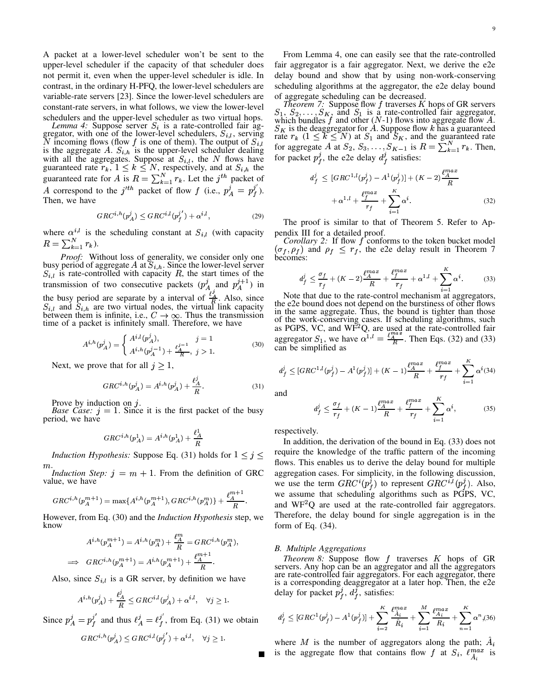A packet at a lower-level scheduler won't be sent to the upper-level scheduler if the capacity of that scheduler does not permit it, even when the upper-level scheduler is idle. In contrast, in the ordinary H-PFQ, the lower-level schedulers are variable-rate servers [23]. Since the lower-level schedulers are constant-rate servers, in what follows, we view the lower-level schedulers and the upper-level scheduler as two virtual hops.

*Lemma 4:* Suppose server  $S_i$  is a rate-controlled fair aggregator, with one of the lower-level schedulers,  $S_{i,l}$ , serving N incoming flows (flow f is one of them). The output of  $S_{i,l}$ is the aggregate A.  $S_{i,h}$  is the upper-level scheduler dealing with all the aggregates. Suppose at  $S_{i,l}$ , the N flows have<br>guaranteed rate  $r_k$ ,  $1 \le k \le N$ , respectively, and at  $S_{i,h}$  the<br>guaranteed rate for A is  $R = \sum_{k=1}^{N} r_k$ . Let the j<sup>th</sup> packet of A correspond to the  $j'^{th}$  packet of flow f (i.e.,  $p_A^j = p_f^{j'}$ ). Then, we have

$$
GRC^{i,h}(p_A^j) \leq GRC^{i,l}(p_f^{j'}) + \alpha^{i,l},\tag{29}
$$

where  $\alpha^{i,l}$  is the scheduling constant at  $S_{i,l}$  (with capacity  $R = \sum_{k=1}^{N} r_k$ ).

Proof: Without loss of generality, we consider only one busy period of aggregate A at  $S_{i,h}$ . Since the lower-level server  $S_{i,l}$  is rate-controlled with capacity R, the start times of the transmission of two consecutive packets  $(p_A^j)$  and  $p_A^{j+1}$  in the busy period are separate by a interval of  $A_i$   $\stackrel{j_1}{\underset{R}{\cancel{A}}}$ . Also, since  $S_{i,l}$  and  $S_{i,h}$  are two virtual nodes, the virtual link capacity between them is infinite, i.e.,  $C \rightarrow \infty$ . Thus the transmission tim

$$
A^{i,h}(p_A^j) = \begin{cases} A^{i,l}(p_A^j), & j = 1\\ A^{i,h}(p_A^{j-1}) + \frac{\ell_A^{j-1}}{R}, & j > 1. \end{cases}
$$
(30)

Next, we prove that for all  $j \geq 1$ ,

$$
GRC^{i,h}(p_A^j) = A^{i,h}(p_A^j) + \frac{\ell_A^j}{R}.
$$
 (31)

Prove by induction on  $j$ .

*Base Case:*  $j = 1$ . Since it is the first packet of the busy period, we have

$$
GRC^{i,h}(p_A^1) = A^{i,h}(p_A^1) + \frac{\ell_A^1}{R}
$$

*Induction Hypothesis:* Suppose Eq. (31) holds for  $1 \leq j \leq$  $m$ .

*Induction Step:*  $j = m + 1$ . From the definition of GRC value, we have

$$
GRC^{i,h}(p_A^{m+1}) = \max\{A^{i,h}(p_A^{m+1}), GRC^{i,h}(p_A^{m})\} + \frac{\ell_A^{m+1}}{R}
$$

However, from Eq. (30) and the *Induction Hypothesis* step, we know

$$
A^{i,h}(p_A^{m+1}) = A^{i,h}(p_A^m) + \frac{\ell_A^m}{R} = GRC^{i,h}(p_A^m)
$$
  

$$
\implies GRC^{i,h}(p_A^{m+1}) = A^{i,h}(p_A^{m+1}) + \frac{\ell_A^{m+1}}{R}.
$$

Also, since  $S_{i,l}$  is a GR server, by definition we have

$$
A^{i,h}(p^j_A) + \frac{\ell^j_A}{R} \leq GRC^{i,l}(p^j_A) + \alpha^{i,l}, \quad \forall j \geq 1
$$

Since  $p_A^j = p_f^{j'}$  and thus  $\ell_A^j = \ell_f^{j'}$ , from Eq. (31) we obtain

$$
GRC^{i,h}(p_A^j) \leq GRC^{i,l}(p_f^{j'}) + \alpha^{i,l}, \quad \forall j \geq 1.
$$

From Lemma 4, one can easily see that the rate-controlled fair aggregator is a fair aggregator. Next, we derive the e2e delay bound and show that by using non-work-conserving scheduling algorithms at the aggregator, the e2e delay bound of aggregate scheduling can be decreased.

*Theorem 7:* Suppose flow f traverses K hops of GR servers  $S_1$ ,  $S_2$ , ...,  $S_K$  and  $S_1$  is a rate-controlled fair aggregator,  $S_1, S_2, \ldots, S_K$ , and  $S_1$  is a rate-controlled ran aggregator, which bundles f and other  $(N-1)$  flows into aggregate flow A.<br>  $S_K$  is the deaggregator for A. Suppose flow k has a guaranteed rate  $r_k$   $(1 \le k \le N)$  at  $S_1$ 

$$
d_f^j \leq [GRC^{1,l}(p_f^j) - A^1(p_f^j)] + (K - 2)\frac{\ell_A^{max}}{R} + \alpha^{1,l} + \frac{\ell_f^{max}}{r_f} + \sum_{i=1}^K \alpha^i.
$$
 (32)

The proof is similar to that of Theorem 5. Refer to Ap-

pendix III for a detailed proof.<br>Corollary 2: If flow f conforms to the token bucket model  $(\sigma_f, \rho_f)$  and  $\rho_f \leq r_f$ , the e2e delay result in Theorem 7 becomes:

$$
d_f^j \le \frac{\sigma_f}{r_f} + (K - 2) \frac{\ell_{A}^{max}}{R} + \frac{\ell_{f}^{max}}{r_f} + \alpha^{1,l} + \sum_{i=1}^{K} \alpha^i.
$$
 (33)

Note that due to the rate-control mechanism at aggregators, the e2e bound does not depend on the burstiness of other flows in the same aggregate. Thus, the bound is tighter than those of the work-conserving cases. If scheduling algorithms, such as PGPS, VC, and WF<sup>2</sup>Q, are used at the rate-controlled fair aggregator  $S_1$ , we have  $\alpha^{1,l} = \frac{\ell_A^{max}}{R}$ . Then Eqs. (32) and (33) can be simplified as

$$
d_f^j \leq [GRC^{1,l}(p_f^j) - A^1(p_f^j)] + (K - 1)\frac{\ell_A^{max}}{R} + \frac{\ell_f^{max}}{r_f} + \sum_{i=1}^K \alpha^i(34)
$$

and

$$
t_f^j \le \frac{\sigma_f}{r_f} + (K - 1)\frac{\ell_A^{max}}{R} + \frac{\ell_f^{max}}{r_f} + \sum_{i=1}^K \alpha^i,
$$
 (35)

respectively.

In addition, the derivation of the bound in Eq.  $(33)$  does not require the knowledge of the traffic pattern of the incoming flows. This enables us to derive the delay bound for multiple aggregation cases. For simplicity, in the following discussion, we use the term  $GRC^{i}(p_f^j)$  to represent  $GRC^{i,l}(p_f^j)$ . Also, we assume that scheduling algorithms such as PGPS, VC, and  $WF^2Q$  are used at the rate-controlled fair aggregators. Therefore, the delay bound for single aggregation is in the form of Eq.  $(34)$ .

#### **B.** Multiple Aggregations

*Theorem 8:* Suppose flow  $f$  traverses  $K$  hops of GR servers. Any hop can be an aggregator and all the aggregators are rate-controlled fair aggregators. For each aggregator, there is a corresponding deaggregator at a later hop. Then, the e2e delay for packet  $p_f^j$ ,  $d_f^j$ , satisfies:

$$
d_f^j \leq [GRC^1(p_f^j) - A^1(p_f^j)] + \sum_{i=2}^{K} \frac{\ell_{A_i}^{max}}{\hat{R}_i} + \sum_{i=1}^{M} \frac{\ell_{A_i}^{max}}{R_i} + \sum_{n=1}^{K} \alpha^n (36)
$$

where M is the number of aggregators along the path;  $A_i$ is the aggregate flow that contains flow f at  $S_i$ ,  $\ell_{\hat{A}_i}^{max}$  is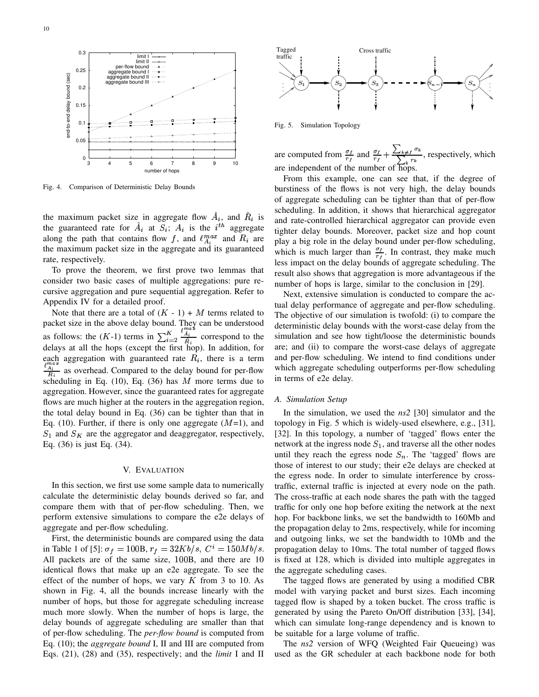

Fig. 4. Comparison of Deterministic Delay Bounds

the maximum packet size in aggregate flow  $A_i$ , and  $R_i$  is and ratethe guaranteed rate for  $\tilde{A}_i$  at  $S_i$ ;  $A_i$  is the  $i^{th}$  aggregate along the path that contains flow f, and  $\ell_{A}^{max}$  and  $R_i$  are  $\ell_{\text{plav a}}$ the maximum packet size in the aggregate and its guaranteed rate, respectively.

To prove the theorem, we first prove two lemmas that consider two basic cases of multiple aggregations: pure recursive aggregation and pure sequential aggregation. Refer to Appendix IV for a detailed proof.

Note that there are a total of  $(K - 1) + M$  terms related to packet size in the above delay bound. They can be understood as follows: the  $(K-1)$  terms in  $\sum_{i=2}^{K} \frac{A_i}{\hat{P}}$  correspond  $\ell^{max}$ <sup>j</sup> ø<sup>s</sup>  $\frac{i}{\pi}$  correspond to the delays at all the hops (except the first hop). In addition, for each aggregation with guaranteed rate  $R_i$ , there is a term  $\frac{\ell_{A_i}^{max}}{B}$  as ov  $\frac{1}{4}$  as overhead. Compared to the delay bound for per-flow scheduling in Eq. (10), Eq. (36) has  $M$  more terms due to aggregation. However, since the guaranteed rates for aggregate flows are much higher at the routers in the aggregation region, the total delay bound in Eq. (36) can be tighter than that in Eq. (10). Further, if there is only one aggregate  $(M=1)$ , and  $S_1$  and  $S_K$  are the aggregator and deaggregator, respectively, Eq. (36) is just Eq. (34).

## V. EVALUATION

In this section, we first use some sample data to numerically calculate the deterministic delay bounds derived so far, and compare them with that of per-flow scheduling. Then, we perform extensive simulations to compare the e2e delays of aggregate and per-flow scheduling.

First, the deterministic bounds are compared using the data in Table 1 of [5]:  $\sigma_f = 100B$ ,  $r_f = 32Kb/s$ ,  $C^i = 150Mb/s$ . All packets are of the same size, 100B, and there are 10 identical flows that make up an e2e aggregate. To see the effect of the number of hops, we vary  $K$  from 3 to 10. As shown in Fig. 4, all the bounds increase linearly with the number of hops, but those for aggregate scheduling increase much more slowly. When the number of hops is large, the delay bounds of aggregate scheduling are smaller than that of per-flow scheduling. The *per-flow bound* is computed from Eq. (10); the *aggregate bound* I, II and III are computed from Eqs. (21), (28) and (35), respectively; and the *limit* I and II



Fig. 5. Simulation Topology

are computed from  $\frac{\sigma_f}{r}$  and  $\frac{\sigma_f}{r}$  $\frac{df}{dt}$  and  $\frac{\sigma_f}{r_f} + \frac{\sum_{k \neq f} \sigma_k}{\sum_{k} r_k}$ , respectively, which are independent of the number of hops.

From this example, one can see that, if the degree of burstiness of the flows is not very high, the delay bounds of aggregate scheduling can be tighter than that of per-flow scheduling. In addition, it shows that hierarchical aggregator and rate-controlled hierarchical aggregator can provide even tighter delay bounds. Moreover, packet size and hop count play a big role in the delay bound under per-flow scheduling, which is much larger than  $\frac{\sigma_f}{\sigma}$ . In cor  $\frac{f}{t}$ . In contrast, they make much less impact on the delay bounds of aggregate scheduling. The result also shows that aggregation is more advantageous if the number of hops is large, similar to the conclusion in [29].

Next, extensive simulation is conducted to compare the actual delay performance of aggregate and per-flow scheduling. The objective of our simulation is twofold: (i) to compare the deterministic delay bounds with the worst-case delay from the simulation and see how tight/loose the deterministic bounds are; and (ii) to compare the worst-case delays of aggregate and per-flow scheduling. We intend to find conditions under which aggregate scheduling outperforms per-flow scheduling in terms of e2e delay.

## *A. Simulation Setup*

In the simulation, we used the *ns2* [30] simulator and the topology in Fig. 5 which is widely-used elsewhere, e.g., [31], [32]. In this topology, a number of 'tagged' flows enter the network at the ingress node  $S_1$ , and traverse all the other nodes until they reach the egress node  $S_n$ . The 'tagged' flows are those of interest to our study; their e2e delays are checked at the egress node. In order to simulate interference by crosstraffic, external traffic is injected at every node on the path. The cross-traffic at each node shares the path with the tagged traffic for only one hop before exiting the network at the next hop. For backbone links, we set the bandwidth to 160Mb and the propagation delay to 2ms, respectively, while for incoming and outgoing links, we set the bandwidth to 10Mb and the propagation delay to 10ms. The total number of tagged flows is fixed at 128, which is divided into multiple aggregates in the aggregate scheduling cases.

The tagged flows are generated by using a modified CBR model with varying packet and burst sizes. Each incoming tagged flow is shaped by a token bucket. The cross traffic is generated by using the Pareto On/Off distribution [33], [34], which can simulate long-range dependency and is known to be suitable for a large volume of traffic.

The *ns2* version of WFQ (Weighted Fair Queueing) was used as the GR scheduler at each backbone node for both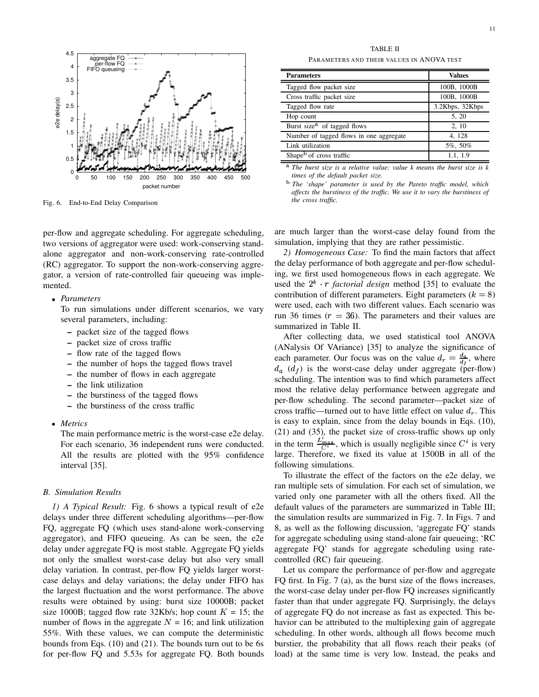

Fig. 6. End-to-End Delay Comparison

per-flow and aggregate scheduling. For aggregate scheduling, two versions of aggregator were used: work-conserving standalone aggregator and non-work-conserving rate-controlled (RC) aggregator. To support the non-work-conserving aggregator, a version of rate-controlled fair queueing was implemented.

# *Parameters*

To run simulations under different scenarios, we vary several parameters, including:

- **–** packet size of the tagged flows
- **–** packet size of cross traffic
- **–** flow rate of the tagged flows
- **–** the number of hops the tagged flows travel
- **–** the number of flows in each aggregate
- **–** the link utilization
- **–** the burstiness of the tagged flows
- **–** the burstiness of the cross traffic
- *Metrics*

The main performance metric is the worst-case e2e delay. For each scenario, 36 independent runs were conducted. All the results are plotted with the 95% confidence interval [35].

# *B. Simulation Results*

*1) A Typical Result:* Fig. 6 shows a typical result of e2e delays under three different scheduling algorithms—per-flow FQ, aggregate FQ (which uses stand-alone work-conserving aggregator), and FIFO queueing. As can be seen, the e2e delay under aggregate FQ is most stable. Aggregate FQ yields not only the smallest worst-case delay but also very small delay variation. In contrast, per-flow FQ yields larger worstcase delays and delay variations; the delay under FIFO has the largest fluctuation and the worst performance. The above results were obtained by using: burst size 10000B; packet size 1000B; tagged flow rate 32Kb/s; hop count  $K = 15$ ; the number of flows in the aggregate  $N = 16$ ; and link utilization 55%. With these values, we can compute the deterministic bounds from Eqs. (10) and (21). The bounds turn out to be 6s for per-flow FQ and 5.53s for aggregate FQ. Both bounds

TABLE II PARAMETERS AND THEIR VALUES IN ANOVA TEST

| <b>Parameters</b>                       | <b>Values</b>   |
|-----------------------------------------|-----------------|
| Tagged flow packet size                 | 100B, 1000B     |
| Cross traffic packet size               | 100B, 1000B     |
| Tagged flow rate                        | 3.2Kbps, 32Kbps |
| Hop count                               | 5, 20           |
| Burst size <sup>a</sup> of tagged flows | 2, 10           |
| Number of tagged flows in one aggregate | 4, 128          |
| Link utilization                        | 5%, 50%         |
| Shape <sup>b</sup> of cross traffic     | 1.1, 1.9        |

 $\blacksquare$  $\overline{a}$ Ĭ.

> *The burst size is a relative value: value k means the burst size is k times of the default packet size.*

> *The 'shape' parameter is used by the Pareto traffic model, which affects the burstiness of the traffic. We use it to vary the burstiness of the cross traffic.*

are much larger than the worst-case delay found from the simulation, implying that they are rather pessimistic.

*2) Homogeneous Case:* To find the main factors that affect the delay performance of both aggregate and per-flow scheduling, we first used homogeneous flows in each aggregate. We used the  $2^k \cdot r$  *factorial design* method [35] to evaluate the contribution of different parameters. Eight parameters  $(k = 8)$ were used, each with two different values. Each scenario was run 36 times ( $r = 36$ ). The parameters and their values are summarized in Table II.

After collecting data, we used statistical tool ANOVA (ANalysis Of VAriance) [35] to analyze the significance of each parameter. Our focus was on the value  $d_r = \frac{d_a}{dt}$ , where  $\mathbf{r}$  and  $\mathbf{r}$  $d_a$  ( $d_f$ ) is the worst-case delay under aggregate (per-flow) scheduling. The intention was to find which parameters affect most the relative delay performance between aggregate and per-flow scheduling. The second parameter—packet size of cross traffic—turned out to have little effect on value  $d_r$ . This is easy to explain, since from the delay bounds in Eqs. (10), (21) and (35), the packet size of cross-traffic shows up only in the term  $\frac{L_{max}}{C_i}$ , which is usually negligible since  $C^i$  is very large. Therefore, we fixed its value at 1500B in all of the following simulations.

To illustrate the effect of the factors on the e2e delay, we ran multiple sets of simulation. For each set of simulation, we varied only one parameter with all the others fixed. All the default values of the parameters are summarized in Table III; the simulation results are summarized in Fig. 7. In Figs. 7 and 8, as well as the following discussion, 'aggregate FQ' stands for aggregate scheduling using stand-alone fair queueing; 'RC aggregate FQ' stands for aggregate scheduling using ratecontrolled (RC) fair queueing.

Let us compare the performance of per-flow and aggregate FQ first. In Fig. 7 (a), as the burst size of the flows increases, the worst-case delay under per-flow FQ increases significantly faster than that under aggregate FQ. Surprisingly, the delays of aggregate FQ do not increase as fast as expected. This behavior can be attributed to the multiplexing gain of aggregate scheduling. In other words, although all flows become much burstier, the probability that all flows reach their peaks (of load) at the same time is very low. Instead, the peaks and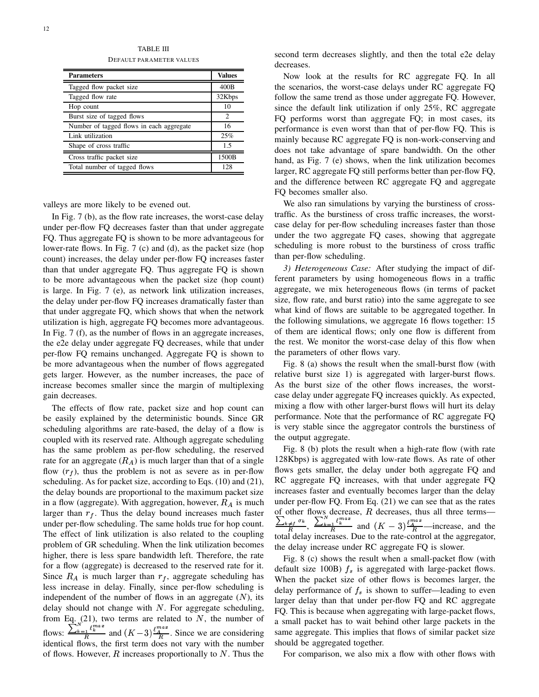TABLE III DEFAULT PARAMETER VALUES

| <b>Parameters</b>                        | <b>Values</b> |
|------------------------------------------|---------------|
| Tagged flow packet size                  | 400B          |
| Tagged flow rate                         | 32Kbps        |
| Hop count                                | 10            |
| Burst size of tagged flows               | 2             |
| Number of tagged flows in each aggregate | 16            |
| Link utilization                         | 25%           |
| Shape of cross traffic                   | 1.5           |
| Cross traffic packet size                | 1500B         |
| Total number of tagged flows             | 128           |

valleys are more likely to be evened out.

In Fig. 7 (b), as the flow rate increases, the worst-case delay under per-flow FQ decreases faster than that under aggregate FQ. Thus aggregate FQ is shown to be more advantageous for lower-rate flows. In Fig. 7 (c) and (d), as the packet size (hop count) increases, the delay under per-flow FQ increases faster than that under aggregate FQ. Thus aggregate FQ is shown to be more advantageous when the packet size (hop count) is large. In Fig. 7 (e), as network link utilization increases, the delay under per-flow FQ increases dramatically faster than that under aggregate FQ, which shows that when the network utilization is high, aggregate FQ becomes more advantageous. In Fig. 7 (f), as the number of flows in an aggregate increases, the e2e delay under aggregate FQ decreases, while that under per-flow FQ remains unchanged. Aggregate FQ is shown to be more advantageous when the number of flows aggregated gets larger. However, as the number increases, the pace of increase becomes smaller since the margin of multiplexing gain decreases.

The effects of flow rate, packet size and hop count can be easily explained by the deterministic bounds. Since GR scheduling algorithms are rate-based, the delay of a flow is coupled with its reserved rate. Although aggregate scheduling has the same problem as per-flow scheduling, the reserved rate for an aggregate  $(R_A)$  is much larger than that of a single flow  $(r<sub>f</sub>)$ , thus the problem is not as severe as in per-flow scheduling. As for packet size, according to Eqs. (10) and (21), the delay bounds are proportional to the maximum packet size in a flow (aggregate). With aggregation, however,  $R_A$  is much larger than  $r_f$ . Thus the delay bound increases much faster under per-flow scheduling. The same holds true for hop count. The effect of link utilization is also related to the coupling problem of GR scheduling. When the link utilization becomes higher, there is less spare bandwidth left. Therefore, the rate for a flow (aggregate) is decreased to the reserved rate for it. Since  $R_A$  is much larger than  $r_f$ , aggregate scheduling has less increase in delay. Finally, since per-flow scheduling is independent of the number of flows in an aggregate  $(N)$ , its delay should not change with  $N$ . For aggregate scheduling, from Eq.  $(21)$ , two terms are related to N, the number of flows:  $\frac{\sum_{k=1}^{n} \ell_k^{max}}{R}$  and  $(K-3) \frac{\ell_A^{max}}{R}$ . Since we are considering identical flows, the first term does not vary with the number of flows. However,  $R$  increases proportionally to  $N$ . Thus the

second term decreases slightly, and then the total e2e delay decreases.

Now look at the results for RC aggregate FQ. In all the scenarios, the worst-case delays under RC aggregate FQ follow the same trend as those under aggregate FQ. However, since the default link utilization if only 25%, RC aggregate FQ performs worst than aggregate FQ; in most cases, its performance is even worst than that of per-flow FQ. This is mainly because RC aggregate FQ is non-work-conserving and does not take advantage of spare bandwidth. On the other hand, as Fig. 7 (e) shows, when the link utilization becomes larger, RC aggregate FQ still performs better than per-flow FQ, and the difference between RC aggregate FQ and aggregate FQ becomes smaller also.

We also ran simulations by varying the burstiness of crosstraffic. As the burstiness of cross traffic increases, the worstcase delay for per-flow scheduling increases faster than those under the two aggregate FQ cases, showing that aggregate scheduling is more robust to the burstiness of cross traffic than per-flow scheduling.

*3) Heterogeneous Case:* After studying the impact of different parameters by using homogeneous flows in a traffic aggregate, we mix heterogeneous flows (in terms of packet size, flow rate, and burst ratio) into the same aggregate to see what kind of flows are suitable to be aggregated together. In the following simulations, we aggregate 16 flows together: 15 of them are identical flows; only one flow is different from the rest. We monitor the worst-case delay of this flow when the parameters of other flows vary.

Fig. 8 (a) shows the result when the small-burst flow (with relative burst size 1) is aggregated with larger-burst flows. As the burst size of the other flows increases, the worstcase delay under aggregate FQ increases quickly. As expected, mixing a flow with other larger-burst flows will hurt its delay performance. Note that the performance of RC aggregate FQ is very stable since the aggregator controls the burstiness of the output aggregate.

Fig. 8 (b) plots the result when a high-rate flow (with rate 128Kbps) is aggregated with low-rate flows. As rate of other flows gets smaller, the delay under both aggregate FQ and RC aggregate FQ increases, with that under aggregate FQ increases faster and eventually becomes larger than the delay under per-flow FQ. From Eq. (21) we can see that as the rates of other flows decrease,  $R$  decreases, thus all three terms—  $\frac{\sum_{k\neq j}\sigma_k}{R}$ ,  $\frac{\sum_{k=1}^{n} \ell_k^{max}}{R}$  and  $(K-3)\frac{\ell_A^{max}}{R}$ —increase, and the total delay increases. Due to the rate-control at the aggregator, the delay increase under RC aggregate FQ is slower.

Fig. 8 (c) shows the result when a small-packet flow (with default size 100B)  $f_s$  is aggregated with large-packet flows. When the packet size of other flows is becomes larger, the delay performance of  $f_s$  is shown to suffer—leading to even larger delay than that under per-flow FQ and RC aggregate FQ. This is because when aggregating with large-packet flows, a small packet has to wait behind other large packets in the same aggregate. This implies that flows of similar packet size should be aggregated together.

For comparison, we also mix a flow with other flows with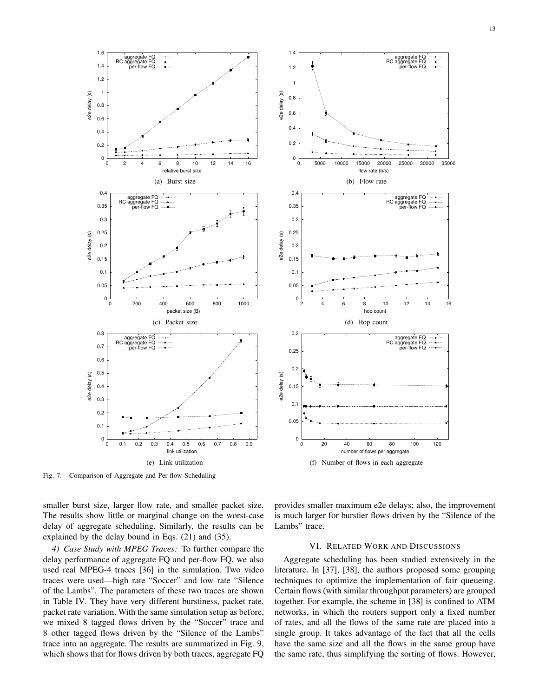

Fig. 7. Comparison of Aggregate and Per-flow Scheduling



smaller burst size, larger flow rate, and smaller packet size. The results show little or marginal change on the worst-case delay of aggregate scheduling. Similarly, the results can be explained by the delay bound in Eqs. (21) and (35).

*4) Case Study with MPEG Traces:* To further compare the delay performance of aggregate FQ and per-flow FQ, we also used real MPEG-4 traces [36] in the simulation. Two video traces were used—high rate "Soccer" and low rate "Silence of the Lambs". The parameters of these two traces are shown in Table IV. They have very different burstiness, packet rate, packet rate variation. With the same simulation setup as before, we mixed 8 tagged flows driven by the "Soccer" trace and 8 other tagged flows driven by the "Silence of the Lambs" trace into an aggregate. The results are summarized in Fig. 9, which shows that for flows driven by both traces, aggregate FQ

provides smaller maximum e2e delays; also, the improvement is much larger for burstier flows driven by the "Silence of the Lambs" trace.

# VI. RELATED WORK AND DISCUSSIONS

Aggregate scheduling has been studied extensively in the literature. In [37], [38], the authors proposed some grouping techniques to optimize the implementation of fair queueing. Certain flows (with similar throughput parameters) are grouped together. For example, the scheme in [38] is confined to ATM networks, in which the routers support only a fixed number of rates, and all the flows of the same rate are placed into a single group. It takes advantage of the fact that all the cells have the same size and all the flows in the same group have the same rate, thus simplifying the sorting of flows. However,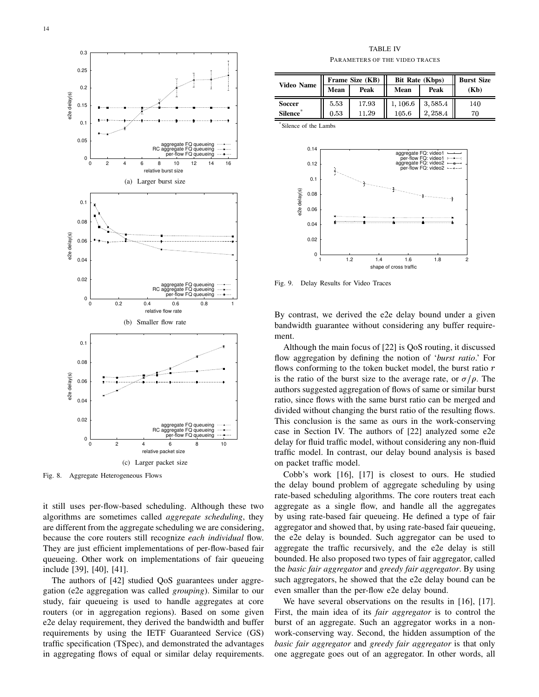

Fig. 8. Aggregate Heterogeneous Flows

it still uses per-flow-based scheduling. Although these two algorithms are sometimes called *aggregate scheduling*, they are different from the aggregate scheduling we are considering, because the core routers still recognize *each individual* flow. They are just efficient implementations of per-flow-based fair queueing. Other work on implementations of fair queueing include [39], [40], [41].

The authors of [42] studied QoS guarantees under aggregation (e2e aggregation was called *grouping*). Similar to our study, fair queueing is used to handle aggregates at core routers (or in aggregation regions). Based on some given e2e delay requirement, they derived the bandwidth and buffer requirements by using the IETF Guaranteed Service (GS) traffic specification (TSpec), and demonstrated the advantages in aggregating flows of equal or similar delay requirements.

TABLE IV PARAMETERS OF THE VIDEO TRACES

|               | Frame Size (KB) |       | <b>Bit Rate (Kbps)</b> |         | <b>Burst Size</b> |
|---------------|-----------------|-------|------------------------|---------|-------------------|
| Video Name    | Mean            | Peak  | Mean                   | Peak    | (Kb)              |
| <b>Soccer</b> | 5.53            | 17.93 | 1,106.6                | 3,585.4 | 140               |
| Silence*      | 0.53            | 11.29 | 105.6                  | 2.258.4 | 70                |

\* Silence of the Lambs



Fig. 9. Delay Results for Video Traces

By contrast, we derived the e2e delay bound under a given bandwidth guarantee without considering any buffer requirement.

Although the main focus of [22] is QoS routing, it discussed flow aggregation by defining the notion of '*burst ratio*.' For flows conforming to the token bucket model, the burst ratio  $r$ is the ratio of the burst size to the average rate, or  $\sigma/\rho$ . The authors suggested aggregation of flows of same or similar burst ratio, since flows with the same burst ratio can be merged and divided without changing the burst ratio of the resulting flows. This conclusion is the same as ours in the work-conserving case in Section IV. The authors of [22] analyzed some e2e delay for fluid traffic model, without considering any non-fluid traffic model. In contrast, our delay bound analysis is based on packet traffic model.

Cobb's work [16], [17] is closest to ours. He studied the delay bound problem of aggregate scheduling by using rate-based scheduling algorithms. The core routers treat each aggregate as a single flow, and handle all the aggregates by using rate-based fair queueing. He defined a type of fair aggregator and showed that, by using rate-based fair queueing, the e2e delay is bounded. Such aggregator can be used to aggregate the traffic recursively, and the e2e delay is still bounded. He also proposed two types of fair aggregator, called the *basic fair aggregator* and *greedy fair aggregator*. By using such aggregators, he showed that the e2e delay bound can be even smaller than the per-flow e2e delay bound.

We have several observations on the results in [16], [17]. First, the main idea of its *fair aggregator* is to control the burst of an aggregate. Such an aggregator works in a nonwork-conserving way. Second, the hidden assumption of the *basic fair aggregator* and *greedy fair aggregator* is that only one aggregate goes out of an aggregator. In other words, all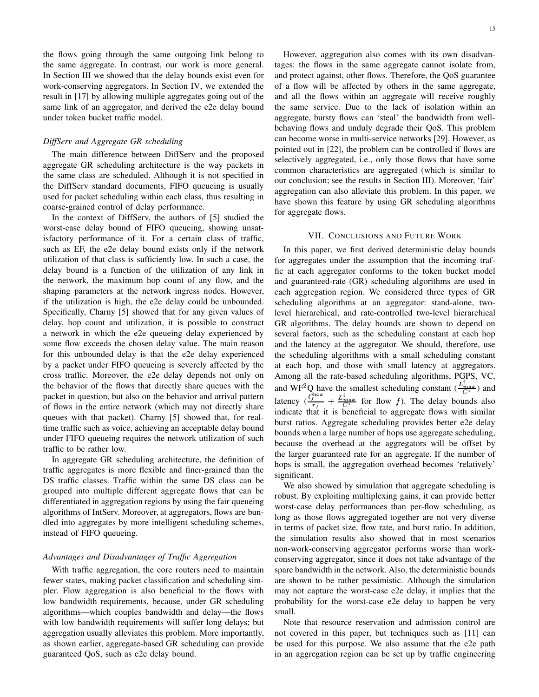the flows going through the same outgoing link belong to the same aggregate. In contrast, our work is more general. In Section III we showed that the delay bounds exist even for work-conserving aggregators. In Section IV, we extended the result in [17] by allowing multiple aggregates going out of the same link of an aggregator, and derived the e2e delay bound under token bucket traffic model.

## *DiffServ and Aggregate GR scheduling*

The main difference between DiffServ and the proposed aggregate GR scheduling architecture is the way packets in the same class are scheduled. Although it is not specified in the DiffServ standard documents, FIFO queueing is usually used for packet scheduling within each class, thus resulting in coarse-grained control of delay performance.

In the context of DiffServ, the authors of [5] studied the worst-case delay bound of FIFO queueing, showing unsatisfactory performance of it. For a certain class of traffic, such as EF, the e2e delay bound exists only if the network utilization of that class is sufficiently low. In such a case, the delay bound is a function of the utilization of any link in the network, the maximum hop count of any flow, and the shaping parameters at the network ingress nodes. However, if the utilization is high, the e2e delay could be unbounded. Specifically, Charny [5] showed that for any given values of delay, hop count and utilization, it is possible to construct a network in which the e2e queueing delay experienced by some flow exceeds the chosen delay value. The main reason for this unbounded delay is that the e2e delay experienced by a packet under FIFO queueing is severely affected by the cross traffic. Moreover, the e2e delay depends not only on the behavior of the flows that directly share queues with the packet in question, but also on the behavior and arrival pattern of flows in the entire network (which may not directly share queues with that packet). Charny [5] showed that, for realtime traffic such as voice, achieving an acceptable delay bound under FIFO queueing requires the network utilization of such traffic to be rather low.

In aggregate GR scheduling architecture, the definition of traffic aggregates is more flexible and finer-grained than the DS traffic classes. Traffic within the same DS class can be grouped into multiple different aggregate flows that can be differentiated in aggregation regions by using the fair queueing algorithms of IntServ. Moreover, at aggregators, flows are bundled into aggregates by more intelligent scheduling schemes, instead of FIFO queueing.

# *Advantages and Disadvantages of Traffic Aggregation*

With traffic aggregation, the core routers need to maintain fewer states, making packet classification and scheduling simpler. Flow aggregation is also beneficial to the flows with low bandwidth requirements, because, under GR scheduling algorithms—which couples bandwidth and delay—the flows with low bandwidth requirements will suffer long delays; but aggregation usually alleviates this problem. More importantly, as shown earlier, aggregate-based GR scheduling can provide guaranteed QoS, such as e2e delay bound.

However, aggregation also comes with its own disadvantages: the flows in the same aggregate cannot isolate from, and protect against, other flows. Therefore, the QoS guarantee of a flow will be affected by others in the same aggregate, and all the flows within an aggregate will receive roughly the same service. Due to the lack of isolation within an aggregate, bursty flows can 'steal' the bandwidth from wellbehaving flows and unduly degrade their QoS. This problem can become worse in multi-service networks [29]. However, as pointed out in [22], the problem can be controlled if flows are selectively aggregated, i.e., only those flows that have some common characteristics are aggregated (which is similar to our conclusion; see the results in Section III). Moreover, 'fair' aggregation can also alleviate this problem. In this paper, we have shown this feature by using GR scheduling algorithms for aggregate flows.

# VII. CONCLUSIONS AND FUTURE WORK

In this paper, we first derived deterministic delay bounds for aggregates under the assumption that the incoming traffic at each aggregator conforms to the token bucket model and guaranteed-rate (GR) scheduling algorithms are used in each aggregation region. We considered three types of GR scheduling algorithms at an aggregator: stand-alone, twolevel hierarchical, and rate-controlled two-level hierarchical GR algorithms. The delay bounds are shown to depend on several factors, such as the scheduling constant at each hop and the latency at the aggregator. We should, therefore, use the scheduling algorithms with a small scheduling constant at each hop, and those with small latency at aggregators. Among all the rate-based scheduling algorithms, PGPS, VC, and WF<sup>2</sup>Q have the smallest scheduling constant  $(\frac{L_{max}}{C_i})$  and latency  $\left(\frac{\ell_f^{max}}{r_f} + \frac{L_{max}^i}{C_i^i}\right)$  for flow f). The delay bounds also indicate that it is beneficial to aggregate flows with similar burst ratios. Aggregate scheduling provides better e2e delay bounds when a large number of hops use aggregate scheduling, because the overhead at the aggregators will be offset by the larger guaranteed rate for an aggregate. If the number of hops is small, the aggregation overhead becomes 'relatively' significant.

We also showed by simulation that aggregate scheduling is robust. By exploiting multiplexing gains, it can provide better worst-case delay performances than per-flow scheduling, as long as those flows aggregated together are not very diverse in terms of packet size, flow rate, and burst ratio. In addition, the simulation results also showed that in most scenarios non-work-conserving aggregator performs worse than workconserving aggregator, since it does not take advantage of the spare bandwidth in the network. Also, the deterministic bounds are shown to be rather pessimistic. Although the simulation may not capture the worst-case e2e delay, it implies that the probability for the worst-case e2e delay to happen be very small.

Note that resource reservation and admission control are not covered in this paper, but techniques such as [11] can be used for this purpose. We also assume that the e2e path in an aggregation region can be set up by traffic engineering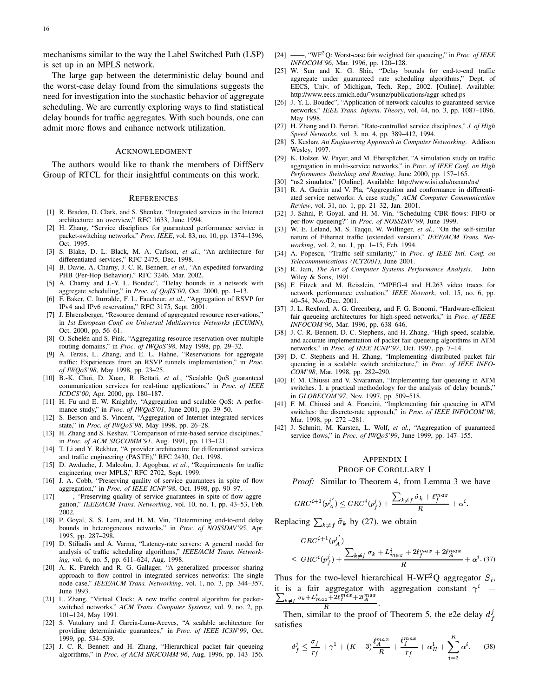mechanisms similar to the way the Label Switched Path (LSP) is set up in an MPLS network.

The large gap between the deterministic delay bound and the worst-case delay found from the simulations suggests the need for investigation into the stochastic behavior of aggregate scheduling. We are currently exploring ways to find statistical delay bounds for traffic aggregates. With such bounds, one can admit more flows and enhance network utilization.

## ACKNOWLEDGMENT

The authors would like to thank the members of DiffServ Group of RTCL for their insightful comments on this work.

#### **REFERENCES**

- [1] R. Braden, D. Clark, and S. Shenker, "Integrated services in the Internet architecture: an overview," RFC 1633, June 1994.
- [2] H. Zhang, "Service disciplines for guaranteed performance service in packet-switching networks," *Proc. IEEE*, vol. 83, no. 10, pp. 1374–1396, Oct. 1995.
- [3] S. Blake, D. L. Black, M. A. Carlson, *et al.*, "An architecture for differentiated services," RFC 2475, Dec. 1998.
- [4] B. Davie, A. Charny, J. C. R. Bennett, *et al.*, "An expedited forwarding PHB (Per-Hop Behavior)," RFC 3246, Mar. 2002.
- [5] A. Charny and J.-Y. L. Boudec", "Delay bounds in a network with aggregate scheduling," in *Proc. of QofIS'00*, Oct. 2000, pp. 1–13.
- [6] F. Baker, C. Iturralde, F. L. Faucheur, *et al.*, "Aggregation of RSVP for IPv4 and IPv6 reservation," RFC 3175, Sept. 2001.
- [7] J. Ehrensberger, "Resource demand of aggregated resource reservations," in *1st European Conf. on Universal Multiservice Networks (ECUMN)*, Oct. 2000, pp. 56–61.
- O. Schelén and S. Pink, "Aggregating resource reservation over multiple routing domains," in *Proc. of IWQoS'98*, May 1998, pp. 29–32.
- [9] A. Terzis, L. Zhang, and E. L. Hahne, "Reservations for aggregate traffic: Experiences from an RSVP tunnels implementation," in *Proc. of IWQoS'98*, May 1998, pp. 23–25.
- [10] B.-K. Choi, D. Xuan, R. Bettati, *et al.*, "Scalable QoS guaranteed communication services for real-time applications," in *Proc. of IEEE ICDCS'00*, Apr. 2000, pp. 180–187.
- [11] H. Fu and E. W. Knightly, "Aggregation and scalable QoS: A performance study," in *Proc. of IWQoS'01*, June 2001, pp. 39–50.
- [12] S. Berson and S. Vincent, "Aggregation of Internet integrated services state," in *Proc. of IWQoS'98*, May 1998, pp. 26–28.
- [13] H. Zhang and S. Keshav, "Comparison of rate-based service disciplines," in *Proc. of ACM SIGCOMM'91*, Aug. 1991, pp. 113–121.
- [14] T. Li and Y. Rekhter, "A provider architecture for differentiated services and traffic engineering (PASTE)," RFC 2430, Oct. 1998.
- [15] D. Awduche, J. Malcolm, J. Agogbua, *et al.*, "Requirements for traffic engineering over MPLS," RFC 2702, Sept. 1999.
- [16] J. A. Cobb, "Preserving quality of service guarantees in spite of flow aggregation," in *Proc. of IEEE ICNP'98*, Oct. 1998, pp. 90–97.
- [17] ——, "Preserving quality of service guarantees in spite of flow aggregation," *IEEE/ACM Trans. Networking*, vol. 10, no. 1, pp. 43–53, Feb. 2002.
- [18] P. Goyal, S. S. Lam, and H. M. Vin, "Determining end-to-end delay bounds in heterogeneous networks," in *Proc. of NOSSDAV'95*, Apr. 1995, pp. 287–298.
- [19] D. Stiliadis and A. Varma, "Latency-rate servers: A general model for analysis of traffic scheduling algorithms," *IEEE/ACM Trans. Networking*, vol. 6, no. 5, pp. 611–624, Aug. 1998.
- [20] A. K. Parekh and R. G. Gallager, "A generalized processor sharing approach to flow control in integrated services networks: The single node case," *IEEE/ACM Trans. Networking*, vol. 1, no. 3, pp. 344–357, June 1993.
- [21] L. Zhang, "Virtual Clock: A new traffic control algorithm for packetswitched networks," *ACM Trans. Computer Systems*, vol. 9, no. 2, pp. 101–124, May 1991.
- [22] S. Vutukury and J. Garcia-Luna-Aceves, "A scalable architecture for providing deterministic guarantees," in *Proc. of IEEE IC3N'99*, Oct. 1999, pp. 534–539.
- [23] J. C. R. Bennett and H. Zhang, "Hierarchical packet fair queueing algorithms," in *Proc. of ACM SIGCOMM'96*, Aug. 1996, pp. 143–156.
- [24] ——, "WF<sup>2</sup>Q: Worst-case fair weighted fair queueing," in *Proc. of IEEE INFOCOM'96*, Mar. 1996, pp. 120–128.
- [25] W. Sun and K. G. Shin, "Delay bounds for end-to-end traffic aggregate under guaranteed rate scheduling algorithms," Dept. of EECS, Univ. of Michigan, Tech. Rep., 2002. [Online]. Available: http://www.eecs.umich.edu/˜wsunz/publications/aggr-sched.ps
- [26] J.-Y. L. Boudec", "Application of network calculus to guaranteed service networks," *IEEE Trans. Inform. Theory*, vol. 44, no. 3, pp. 1087–1096, May 1998.
- [27] H. Zhang and D. Ferrari, "Rate-controlled service disciplines," *J. of High Speed Networks*, vol. 3, no. 4, pp. 389–412, 1994.
- [28] S. Keshav, *An Engineering Approach to Computer Networking*. Addison Wesley, 1997.
- [29] K. Dolzer, W. Payer, and M. Eberspächer, "A simulation study on traffic aggregation in multi-service networks," in *Proc. of IEEE Conf. on High Performance Switching and Routing*, June 2000, pp. 157–165.
- [30] "ns2 simulator." [Online]. Available: http://www.isi.edu/nsnam/ns/
- [31] R. A. Guérin and V. Pla, "Aggregation and conformance in differentiated service networks: A case study," *ACM Computer Communication Review*, vol. 31, no. 1, pp. 21–32, Jan. 2001.
- [32] J. Sahni, P. Goyal, and H. M. Vin, "Scheduling CBR flows: FIFO or per-flow queueing?" in *Proc. of NOSSDAV'99*, June 1999.
- [33] W. E. Leland, M. S. Taqqu, W. Willinger, *et al.*, "On the self-similar nature of Ethernet traffic (extended version)," *IEEE/ACM Trans. Networking*, vol. 2, no. 1, pp. 1–15, Feb. 1994.
- [34] A. Popescu, "Traffic self-similarity," in *Proc. of IEEE Intl. Conf. on Telecommunications (ICT2001)*, June 2001.
- [35] R. Jain, *The Art of Computer Systems Performance Analysis*. John Wiley & Sons, 1991.
- [36] F. Fitzek and M. Reisslein, "MPEG-4 and H.263 video traces for network performance evaluation," *IEEE Network*, vol. 15, no. 6, pp. 40–54, Nov./Dec. 2001.
- [37] J. L. Rexford, A. G. Greenberg, and F. G. Bonomi, "Hardware-efficient fair queueing architectures for high-speed networks," in *Proc. of IEEE INFOCOM'96*, Mar. 1996, pp. 638–646.
- [38] J. C. R. Bennett, D. C. Stephens, and H. Zhang, "High speed, scalable, and accurate implementation of packet fair queueing algorithms in ATM networks," in *Proc. of IEEE ICNP'97*, Oct. 1997, pp. 7–14.
- [39] D. C. Stephens and H. Zhang, "Implementing distributed packet fair queueing in a scalable switch architecture," in *Proc. of IEEE INFO-COM'98*, Mar. 1998, pp. 282–290.
- [40] F. M. Chiussi and V. Sivaraman, "Implementing fair queueing in ATM switches. I. a practical methodology for the analysis of delay bounds," in *GLOBECOM'97*, Nov. 1997, pp. 509–518.
- [41] F. M. Chiussi and A. Francini, "Implementing fair queueing in ATM switches: the discrete-rate approach," in *Proc. of IEEE INFOCOM'98*, Mar. 1998, pp. 272 –281.
- [42] J. Schmitt, M. Karsten, L. Wolf, *et al.*, "Aggregation of guaranteed service flows," in *Proc. of IWQoS'99*, June 1999, pp. 147–155.

#### APPENDIX I

# PROOF OF COROLLARY 1

*Proof:* Similar to Theorem 4, from Lemma 3 we have

$$
GRC^{i+1}(p_A^{j'})\leq GRC^i(p_f^j)+\frac{\sum_{k\neq f}\tilde{\sigma}_k+\ell_f^{max}}{R}+\alpha^i.
$$

Replacing  $\sum_{k \neq j} \tilde{\sigma}_k$  by (27), we obtain

$$
GRC^{i+1}(p_A^j)
$$
  
\n
$$
\leq GRC^i(p_f^j) + \frac{\sum_{k \neq f} \sigma_k + L_{max}^i + 2\ell_f^{max} + 2\ell_A^{max}}{R} + \alpha^i.(37)
$$

Thus for the two-level hierarchical H-WF<sup>2</sup>Q aggregator  $S_i$ , it is a fair aggregator with aggregation constant  $\gamma^{i}$  =  $\frac{\sum_{k\neq f}\sigma_k + L_{max}^n + 2l_f^{max} + 2l_A^{max}}{R}$ .

Then, similar to the proof of Theorem 5, the e2e delay  $d_f^j$ satisfies

$$
d_f^j \le \frac{\sigma_f}{r_f} + \gamma^1 + (K - 3) \frac{\ell_A^{max}}{R} + \frac{\ell_f^{max}}{r_f} + \alpha_H^1 + \sum_{i=2}^K \alpha^i. \tag{38}
$$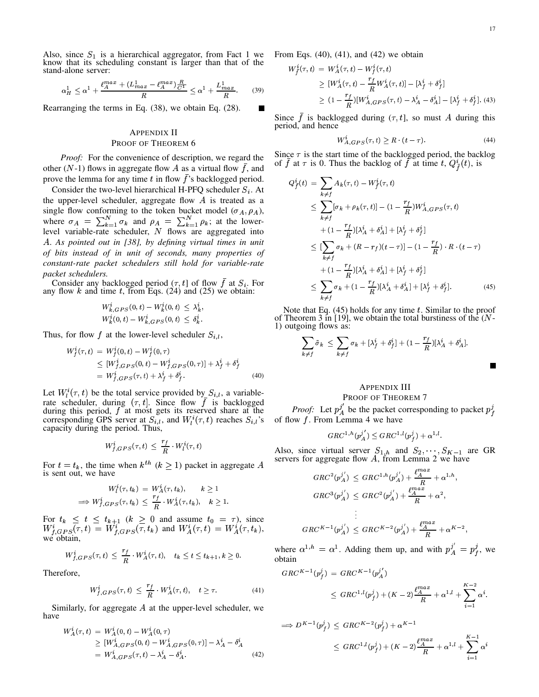Г

Also, since  $S_1$  is a hierarchical aggregator, from Fact 1 we know that its scheduling constant is larger than that of the stand-alone server:

$$
\alpha_H^1 \leq \alpha^1 + \frac{\ell_A^{max} + (L_{max}^1 - \ell_A^{max})\frac{R}{C^1}}{R} \leq \alpha^1 + \frac{L_{max}^1}{R}.
$$
 (39)

Rearranging the terms in Eq. (38), we obtain Eq. (28).

# APPENDIX II PROOF OF THEOREM 6

*Proof:* For the convenience of description, we regard the other (N-1) flows in aggregate flow A as a virtual flow  $\bar{f}$ , and prove the lemma for any time t in flow  $\bar{f}$ 's backlogged period.

Consider the two-level hierarchical H-PFQ scheduler  $S_i$ . At the upper-level scheduler, aggregate flow  $A$  is treated as a single flow conforming to the token bucket model  $(\sigma_A, \rho_A)$ , where  $\sigma_A = \sum_{k=1}^{N} \sigma_k$  and  $\rho_A = \sum_{k=1}^{N} \rho_k$ ; at the lowerlevel variable-rate scheduler,  $N$  flows are aggregated into <sup>4</sup>. *As pointed out in [38], by defining virtual times in unit of bits instead of in unit of seconds, many properties of constant-rate packet schedulers still hold for variable-rate packet schedulers.*

Consider any backlogged period  $(\tau, t]$  of flow f at  $S_i$ . For any flow k and time t, from Eqs. (24) and (25) we obtain:

$$
\begin{array}{l} W_{k,GPS}^i(0,t)-W_{k}^i(0,t) \, \le \, \lambda_k^i, \\ W_{k}^i(0,t)-W_{k,GPS}^i(0,t) \, \le \, \delta_k^i. \end{array}
$$

Thus, for flow f at the lower-level scheduler  $S_{i,l}$ ,

$$
W_f^i(\tau, t) = W_f^i(0, t) - W_f^i(0, \tau)
$$
  
\n
$$
\leq [W_{f, GPS}^i(0, t) - W_{f, GPS}^i(0, \tau)] + \lambda_f^i + \delta_f^i
$$
  
\n
$$
= W_{f, GPS}^i(\tau, t) + \lambda_f^i + \delta_f^i.
$$
 (40)

Let  $W_l^i(\tau, t)$  be the total service provided by  $S_{i,l}$ , a variablerate scheduler, during  $(\tau, t]$ . Since flow  $\bar{f}$  is backlogged during this period,  $f$  at most gets its reserved share at the corresponding GPS server at  $S_{i,l}$ , and  $W_l^i(\tau, t)$  reaches  $S_{i,l}$ 's capacity during the period. Thus,

$$
W^i_{f, GPS}(\tau, t) \ \leq \ \frac{r_f}{R} \cdot W^i_l(\tau, t)
$$

For  $t = t_k$ , the time when  $k^{th}$   $(k \ge 1)$  packet in aggregate A is sent out, we have

$$
W_t^i(\tau, t_k) = W_A^i(\tau, t_k), \qquad k \ge 1
$$
  

$$
\implies W_{f, GPS}^i(\tau, t_k) \le \frac{r_f}{R} \cdot W_A^i(\tau, t_k), \quad k \ge 1.
$$

For  $t_k \leq t \leq t_{k+1}$   $(k \geq 0$  and assume  $t_0 = \tau$ ), since  $W_{f,GBS}^{i}(\tau,t) = W_{f,GBS}^{i}(\tau,t_k)$  and  $W_{A}^{i}(\tau,t) = W_{A}^{i}(\tau,t_k),$ we obtain,

$$
W^i_{f,GPS}(\tau,t) \ \leq \ \frac{r_f}{R} \cdot W^i_A(\tau,t), \quad t_k \leq t \leq t_{k+1}, k \geq 0.
$$

Therefore,

$$
W_{f,GPS}^i(\tau,t) \le \frac{r_f}{R} \cdot W_A^i(\tau,t), \quad t \ge \tau. \tag{41}
$$

Similarly, for aggregate  $A$  at the upper-level scheduler, we have

$$
W_A^i(\tau, t) = W_A^i(0, t) - W_A^i(0, \tau)
$$
  
\n
$$
\geq [W_{A, GPS}^i(0, t) - W_{A, GPS}^i(0, \tau)] - \lambda_A^i - \delta_A^i
$$
  
\n
$$
= W_{A, GPS}^i(\tau, t) - \lambda_A^i - \delta_A^i.
$$
 (42)

From Eqs.  $(40)$ ,  $(41)$ , and  $(42)$  we obtain

$$
W_{\tilde{f}}^{i}(\tau,t) = W_{A}^{i}(\tau,t) - W_{f}^{i}(\tau,t)
$$
  
\n
$$
\geq [W_{A}^{i}(\tau,t) - \frac{r_{f}}{R}W_{A}^{i}(\tau,t)] - [\lambda_{f}^{i} + \delta_{f}^{i}]
$$
  
\n
$$
\geq (1 - \frac{r_{f}}{R})[W_{A,GPS}^{i}(\tau,t) - \lambda_{A}^{i} - \delta_{A}^{i}] - [\lambda_{f}^{i} + \delta_{f}^{i}].
$$
 (43)

Since f is backlogged during  $(\tau, t]$ , so must A during this period, and hence

$$
W_{A, GPS}^{i}(\tau, t) \ge R \cdot (t - \tau). \tag{44}
$$

Since  $\tau$  is the start time of the backlogged period, the backlog of f at  $\tau$  is 0. Thus the backlog of f at time t,  $Q_{\tau}^{i}(t)$ , is

$$
Q_f^i(t) = \sum_{k \neq f} A_k(\tau, t) - W_f^i(\tau, t)
$$
  
\n
$$
\leq \sum_{k \neq f} [\sigma_k + \rho_k(\tau, t)] - (1 - \frac{r_f}{R}) W_{A, GPS}^i(\tau, t)
$$
  
\n
$$
+ (1 - \frac{r_f}{R}) [\lambda_A^i + \delta_A^i] + [\lambda_f^i + \delta_f^i]
$$
  
\n
$$
\leq [\sum_{k \neq f} \sigma_k + (R - r_f)(t - \tau)] - (1 - \frac{r_f}{R}) \cdot R \cdot (t - \tau)
$$
  
\n
$$
+ (1 - \frac{r_f}{R}) [\lambda_A^i + \delta_A^i] + [\lambda_f^i + \delta_f^i]
$$
  
\n
$$
\leq \sum_{k \neq f} \sigma_k + (1 - \frac{r_f}{R}) [\lambda_A^i + \delta_A^i] + [\lambda_f^i + \delta_f^i].
$$
 (45)

Note that Eq.  $(45)$  holds for any time t. Similar to the proof of Theorem 3 in [19], we obtain the total burstiness of the  $(N-$ 1) outgoing flows as:

$$
\sum_{k \neq f} \tilde{\sigma}_k \leq \sum_{k \neq f} \sigma_k + [\lambda_f^i + \delta_f^i] + (1 - \frac{r_f}{R})[\lambda_A^i + \delta_A^i].
$$

# APPENDIX III

## PROOF OF THEOREM 7

*Proof:* Let  $p_A^j$  be the packet corresponding to packet  $p_f^j$ of flow  $f$ . From Lemma 4 we have

$$
GRC^{1,h}(p_A^{j'})\leq GRC^{1,l}(p_f^j)+\alpha^{1,l}.
$$

Also, since virtual server  $S_{1,h}$  and  $S_2, \dots, S_{K-1}$  are GR servers for aggregate flow  $A$ , from Lemma 2 we have

$$
\begin{aligned} & GRC^2(p_A^{j'}) \: \le \: GRC^{1,h}(p_A^{j'}) + \frac{\ell_A^{max}}{R} + \alpha^{1,h}, \\ & GRC^3(p_A^{j'}) \: \le \: GRC^2(p_A^{j'}) + \frac{\ell_A^{max}}{R} + \alpha^2, \\ & \vdots \\ & GRC^{K-1}(p_A^{j'}) \: \le \: GRC^{K-2}(p_A^{j'}) + \frac{\ell_A^{max}}{R} + \alpha^{K-2}, \end{aligned}
$$

where  $\alpha^{1,h} = \alpha^1$ . Adding them up, and with  $p_A^j = p_f^j$ , we obtain

$$
GRC^{K-1}(p_f^j) = GRC^{K-1}(p_A^{j'})
$$
  
 
$$
\leq GRC^{1,l}(p_f^j) + (K-2)\frac{\ell_{A}^{max}}{R} + \alpha^{1,l} + \sum_{i=1}^{K-2} \alpha^i.
$$

$$
\Rightarrow D^{K-1}(p_f^j) \leq GRC^{K-2}(p_f^j) + \alpha^{K-1}
$$
  

$$
\leq GRC^{1,l}(p_f^j) + (K-2)\frac{\ell_1^{max}}{R} + \alpha^{1,l} + \sum_{i=1}^{K-1} \alpha^i
$$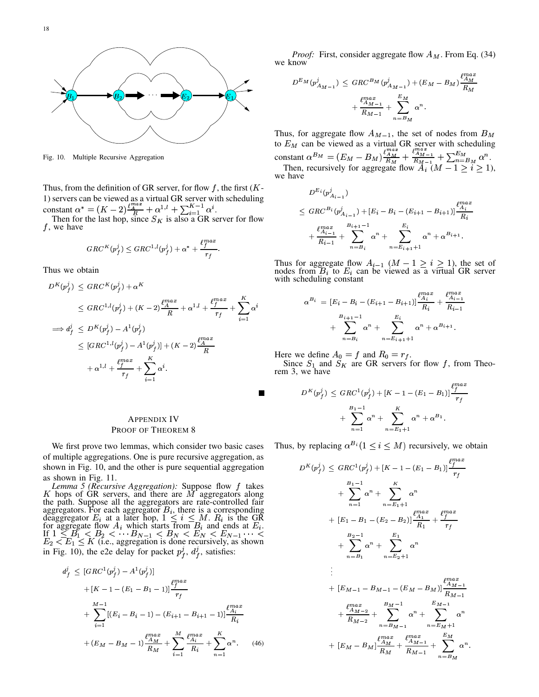

Fig. 10. Multiple Recursive Aggregation

Thus, from the definition of GR server, for flow  $f$ , the first  $(K -$ 1) servers can be viewed as a virtual GR server with scheduling<br>constant  $\alpha^* = (K - 2) \frac{\ell_A^{m a}^*}{R} + \alpha^{1,l} + \sum_{i=1}^{K-1} \alpha^i$ .<br>Then for the last hop, since  $S_K$  is also a GR server for flow

 $f$ , we have

$$
GRC^K(p_f^j) \leq GRC^{1,l}(p_f^j) + \alpha^* + \frac{\ell_f^{max}}{r_f}.
$$

Thus we obtain

$$
D^{K}(p_{f}^{j}) \leq GRC^{K}(p_{f}^{j}) + \alpha^{K}
$$
  
\n
$$
\leq GRC^{1,l}(p_{f}^{j}) + (K - 2)\frac{\ell_{A}^{max}}{R} + \alpha^{1,l} + \frac{\ell_{f}^{max}}{r_{f}} + \sum_{i=1}^{K} \alpha^{i}
$$
  
\n
$$
\implies d_{f}^{j} \leq D^{K}(p_{f}^{j}) - A^{1}(p_{f}^{j})
$$
  
\n
$$
\leq [GRC^{1,l}(p_{f}^{j}) - A^{1}(p_{f}^{j})] + (K - 2)\frac{\ell_{A}^{max}}{R}
$$
  
\n
$$
+ \alpha^{1,l} + \frac{\ell_{f}^{max}}{r_{f}} + \sum_{i=1}^{K} \alpha^{i}.
$$

# **APPENDIX IV** PROOF OF THEOREM 8

We first prove two lemmas, which consider two basic cases of multiple aggregations. One is pure recursive aggregation, as shown in Fig. 10, and the other is pure sequential aggregation as shown in Fig. 11.

*Lemma 5 (Recursive Aggregation):* Suppose flow  $f$  takes  $K$  hops of GR servers, and there are  $M$  aggregators along A hops of GK servers, and there are M aggregators atong<br>the path. Suppose all the aggregators are rate-controlled fair<br>aggregators. For each aggregator  $B_i$ , there is a corresponding<br>deaggregator  $E_i$  at a later hop,  $1 \le$ in Fig. 10), the e2e delay for packet  $p_f^j$ ,  $d_f^j$ , satisfies:

$$
i_{f}^{j} \leq [GRC^{1}(p_{f}^{j}) - A^{1}(p_{f}^{j})]
$$
  
+  $[K - 1 - (E_{1} - B_{1} - 1)] \frac{\ell_{f}^{max}}{r_{f}}$   
+  $\sum_{i=1}^{M-1} [(E_{i} - B_{i} - 1) - (E_{i+1} - B_{i+1} - 1)] \frac{\ell_{A_{i}}^{max}}{R_{i}}$   
+  $(E_{M} - B_{M} - 1) \frac{\ell_{AM}^{max}}{R_{M}} + \sum_{i=1}^{M} \frac{\ell_{A_{i}}^{max}}{R_{i}} + \sum_{n=1}^{K} \alpha^{n}.$  (46)

*Proof:* First, consider aggregate flow  $A_M$ . From Eq. (34) we know

$$
D^{E_M}(p_{A_{M-1}}^j) \leq GRC^{B_M}(p_{A_{M-1}}^j) + (E_M - B_M) \frac{\ell_{A_M}^{max}}{R_M} + \frac{\ell_{A_{M-1}}^{max}}{R_{M-1}} + \sum_{n=B_M}^{E_M} \alpha^n.
$$

Thus, for aggregate flow  $A_{M-1}$ , the set of nodes from  $B_M$ to  $E_M$  can be viewed as a virtual GR server with scheduling<br>constant  $\alpha^{B_M} = (E_M - B_M) \frac{t_{AM}^{max}}{R_M} + \frac{t_{AM-1}^{max}}{R_{M-1}} + \sum_{n=B_M}^{E_M} \alpha^n$ .<br>Then, recursively for aggregate flow  $A_i$  ( $M - 1 \ge i \ge 1$ ), we have

$$
D^{E_i}(p_{A_{i-1}}^j)
$$
  
\n
$$
\leq GRC^{B_i}(p_{A_{i-1}}^j) + [E_i - B_i - (E_{i+1} - B_{i+1})] \frac{\ell_{A_i}^{max}}{R_i}
$$
  
\n
$$
+ \frac{\ell_{A_{i-1}}^{max}}{R_{i-1}} + \sum_{n=B_i}^{B_{i+1}-1} \alpha^n + \sum_{n=E_{i+1}+1}^{E_i} \alpha^n + \alpha^{B_{i+1}}.
$$

Thus for aggregate flow  $A_{i-1}$   $(M - 1 \ge i \ge 1)$ , the set of nodes from  $B_i$  to  $E_i$  can be viewed as a virtual GR server with scheduling constant

$$
\alpha^{B_i} = [E_i - B_i - (E_{i+1} - B_{i+1})] \frac{\ell_{A_i}^{max}}{R_i} + \frac{\ell_{A_{i-1}}^{max}}{R_{i-1}} + \sum_{n=B_i}^{B_{i+1}-1} \alpha^n + \sum_{n=B_{i+1}+1}^{E_i} \alpha^n + \alpha^{B_{i+1}}.
$$

Here we define  $A_0 = f$  and  $R_0 = r_f$ .

Since  $S_1$  and  $S_K$  are GR servers for flow f, from Theorem 3, we have

$$
D^{K}(p_f^j) \leq GRC^{1}(p_f^j) + [K - 1 - (E_1 - B_1)] \frac{\ell_f^{max}}{r_f}
$$
  
+ 
$$
\sum_{n=1}^{B_1 - 1} \alpha^{n} + \sum_{n=E_1 + 1}^{K} \alpha^{n} + \alpha^{B_1}.
$$

Thus, by replacing  $\alpha^{B_i} (1 \leq i \leq M)$  recursively, we obtain

$$
D^{K}(p_{f}^{j}) \leq GRC^{1}(p_{f}^{j}) + [K - 1 - (E_{1} - B_{1})] \frac{\ell_{f}^{max}}{r_{f}}
$$
  
+ 
$$
\sum_{n=1}^{B_{1}-1} \alpha^{n} + \sum_{n=E_{1}+1}^{K} \alpha^{n}
$$
  
+ 
$$
[E_{1} - B_{1} - (E_{2} - B_{2})] \frac{\ell_{A_{1}}^{max}}{R_{1}} + \frac{\ell_{f}^{max}}{r_{f}}
$$
  
+ 
$$
\sum_{n=B_{1}}^{B_{2}-1} \alpha^{n} + \sum_{n=E_{2}+1}^{E_{1}} \alpha^{n}
$$
  
+ 
$$
[E_{M-1} - B_{M-1} - (E_{M} - B_{M})] \frac{\ell_{A_{M-1}}^{max}}{R_{M-1}}
$$
  
+ 
$$
\frac{\ell_{A_{M-2}}^{max}}{R_{M-2}} + \sum_{n=B_{M-1}}^{B_{M-1}} \alpha^{n} + \sum_{n=E_{M}+1}^{E_{M-1}} \alpha^{n}
$$
  
+ 
$$
[E_{M} - B_{M}] \frac{\ell_{A_{M}}^{max}}{R_{M}} + \frac{\ell_{A_{M-1}}^{max}}{R_{M-1}} + \sum_{n=B_{M}}^{E_{M}} \alpha^{n}.
$$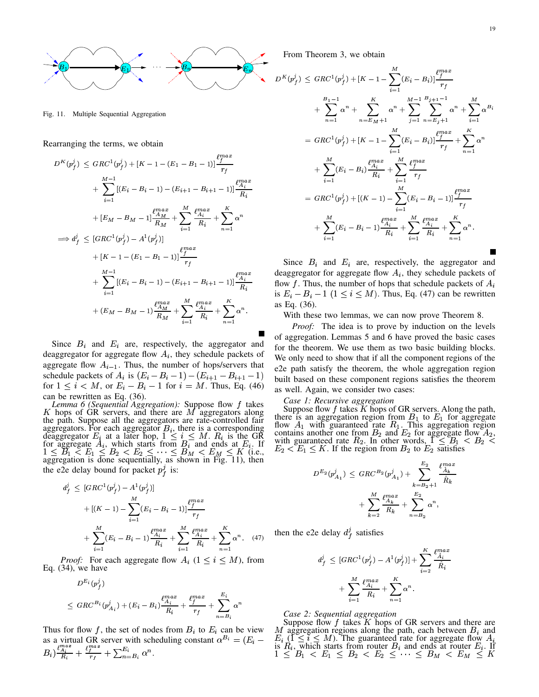

Fig. 11. Multiple Sequential Aggregation

Rearranging the terms, we obtain

$$
D^{K}(p_{f}^{j}) \leq GRC^{1}(p_{f}^{j}) + [K - 1 - (E_{1} - B_{1} - 1)] \frac{\mu_{f}^{max}}{r_{f}}
$$
  
+ 
$$
\sum_{i=1}^{M-1} [(E_{i} - B_{i} - 1) - (E_{i+1} - B_{i+1} - 1)] \frac{\mu_{Ai}^{max}}{R_{i}}
$$
  
+ 
$$
[E_{M} - B_{M} - 1] \frac{\mu_{AM}^{max}}{R_{M}} + \sum_{i=1}^{M} \frac{\mu_{Ai}^{max}}{R_{i}} + \sum_{n=1}^{K} \alpha^{n}
$$
  

$$
\implies d_{f}^{j} \leq [GRC^{1}(p_{f}^{j}) - A^{1}(p_{f}^{j})]
$$
  
+ 
$$
[K - 1 - (E_{1} - B_{1} - 1)] \frac{\mu_{I}^{max}}{r_{f}}
$$
  
+ 
$$
\sum_{i=1}^{M-1} [(E_{i} - B_{i} - 1) - (E_{i+1} - B_{i+1} - 1)] \frac{\mu_{Ai}^{max}}{R_{i}}
$$
  
+ 
$$
(E_{M} - B_{M} - 1) \frac{\mu_{A}^{max}}{R_{M}} + \sum_{i=1}^{M} \frac{\mu_{Ai}^{max}}{R_{i}} + \sum_{n=1}^{K} \alpha^{n}.
$$

Since  $B_i$  and  $E_i$  are, respectively, the aggregator and deaggregator for aggregate flow  $A_i$ , they schedule packets of aggregate flow  $A_{i-1}$ . Thus, the number of hops/servers that schedule packets of  $A_i$  is  $(E_i - B_i - 1) - (E_{i+1} - B_{i+1} - 1)$ for  $1 \le i \lt M$ , or  $E_i - B_i - 1$  for  $i = M$ . Thus, Eq. (46) can be rewritten as Eq. (36).

*Lemma 6 (Sequential Aggregation):* Suppose flow  $f$  takes  $K$  hops of GR servers, and there are  $M$  aggregators along the path. Suppose all the aggregators are rate-controlled fair die pain. Suppose an the aggregators are rate-controlled ran<br>aggregators. For each aggregator  $B_i$ , there is a corresponding<br>deaggregator  $E_i$  at a later hop,  $1 \le i \le M$ .  $R_i$  is the GR<br>for aggregate  $A_i$ , which starts fro the e2e delay bound for packet  $p_f^j$  is:

 $\overline{d}$ 

$$
\iint_{f}^{j} \leq [GRC^{1}(p_{f}^{j}) - A^{1}(p_{f}^{j})] \n+ [(K - 1) - \sum_{i=1}^{M} (E_{i} - B_{i} - 1)] \frac{\ell_{f}^{max}}{r_{f}} \n+ \sum_{i=1}^{M} (E_{i} - B_{i} - 1) \frac{\ell_{A_{i}}^{max}}{R_{i}} + \sum_{i=1}^{M} \frac{\ell_{A_{i}}^{max}}{R_{i}} + \sum_{n=1}^{K} \alpha^{n}.
$$
\n(47)

*Proof:* For each aggregate flow  $A_i$   $(1 \le i \le M)$ , from Eq.  $(34)$ , we have

$$
D^{E_i}(p_f^j)
$$
  
\n
$$
\leq GRC^{B_i}(p_{A_i}^j) + (E_i - B_i) \frac{\ell_{A_i}^{max}}{R_i} + \frac{\ell_f^{max}}{r_f} + \sum_{n=B_i}^{E_i} \alpha^n
$$

Thus for flow f, the set of nodes from  $B_i$  to  $E_i$  can be view as a virtual GR server with scheduling constant  $\alpha^{B_i} = (E_i - B_i) \frac{\ell_{A_i}^{max}}{R_i} + \frac{\ell_{I_i}^{max}}{r_f} + \sum_{n=B_i}^{E_i} \alpha^n$ . From Theorem 3, we obtain

$$
D^{K}(p_{f}^{j}) \leq GRC^{1}(p_{f}^{j}) + [K - 1 - \sum_{i=1}^{M} (E_{i} - B_{i})] \frac{\ell_{f}^{max}}{r_{f}}
$$
  
+ 
$$
\sum_{n=1}^{B_{1}-1} \alpha^{n} + \sum_{n=E_{M}+1}^{K} \alpha^{n} + \sum_{j=1}^{M-1} \sum_{n=E_{j}+1}^{B_{j+1}-1} \alpha^{n} + \sum_{i=1}^{M} \alpha^{B_{i}}
$$
  
= 
$$
GRC^{1}(p_{f}^{j}) + [K - 1 - \sum_{i=1}^{M} (E_{i} - B_{i})] \frac{\ell_{f}^{max}}{r_{f}} + \sum_{n=1}^{K} \alpha^{n}
$$
  
+ 
$$
\sum_{i=1}^{M} (E_{i} - B_{i}) \frac{\ell_{A_{i}}^{max}}{R_{i}} + \sum_{i=1}^{M} \frac{\ell_{f}^{max}}{r_{f}}
$$
  
= 
$$
GRC^{1}(p_{f}^{j}) + [(K - 1) - \sum_{i=1}^{M} (E_{i} - B_{i} - 1)] \frac{\ell_{f}^{max}}{r_{f}}
$$
  
+ 
$$
\sum_{i=1}^{M} (E_{i} - B_{i} - 1) \frac{\ell_{A_{i}}^{max}}{R_{i}} + \sum_{i=1}^{M} \frac{\ell_{A_{i}}^{max}}{R_{i}} + \sum_{n=1}^{K} \alpha^{n}.
$$
  
Since 
$$
B_{i}
$$
 and 
$$
F_{i}
$$
 are respectively the

Since  $B_i$  and  $E_i$  are, respectively, the aggregator and deaggregator for aggregate flow  $A_i$ , they schedule packets of flow f. Thus, the number of hops that schedule packets of  $A_i$ is  $E_i - B_i - 1$   $(1 \le i \le M)$ . Thus, Eq. (47) can be rewritten as Eq. (36).

With these two lemmas, we can now prove Theorem 8.

*Proof:* The idea is to prove by induction on the levels of aggregation. Lemmas 5 and 6 have proved the basic cases for the theorem. We use them as two basic building blocks. We only need to show that if all the component regions of the e2e path satisfy the theorem, the whole aggregation region built based on these component regions satisfies the theorem as well. Again, we consider two cases:

## Case 1: Recursive aggregation

Suppose flow f takes K hops of GR servers. Along the path,<br>there is an aggregation region from  $B_1$  to  $E_1$  for aggregate<br>flow  $A_1$  with guaranteed rate  $R_1$ . This aggregation region<br>contains another one from  $B_2$  an

$$
\begin{array}{llll} D^{E_{2}}(p_{A_{1}}^{j}) & \leq & {GRC}^{B_{2}}(p_{A_{1}}^{j}) + \displaystyle\sum_{k=B_{2}+1}^{E_{2}} \frac{\ell_{A_{k}}^{max}}{\hat{R}_{k}} \\ & & + \displaystyle\sum_{k=2}^{M} \frac{\ell_{A_{k}}^{max}}{R_{k}} + \displaystyle\sum_{n=B_{2}}^{E_{2}} \alpha^{n}, \end{array}
$$

then the e2e delay  $d_f^j$  satisfies

$$
d_f^j \leq [GRC^1(p_f^j) - A^1(p_f^j)] + \sum_{i=2}^{K} \frac{\ell_{A_i}^{max}}{\hat{R}_i}
$$

$$
+ \sum_{i=1}^{M} \frac{\ell_{A_i}^{max}}{R_i} + \sum_{n=1}^{K} \alpha^n.
$$

Case 2: Sequential aggregation

Suppose flow  $f$  takes  $K$  hops of GR servers and there are M aggregation regions along the path, each between  $B_i$  and  $E_i$  ( $1 \le i \le M$ ). The guaranteed rate for aggregate flow  $A_i$  is  $R_i$ , which starts from router  $B_i$  and ends at router  $E_i$ . If  $1 \le B_1 < E_1 \le B_2 < E_2 \le \cdots \le B_M < E_M$